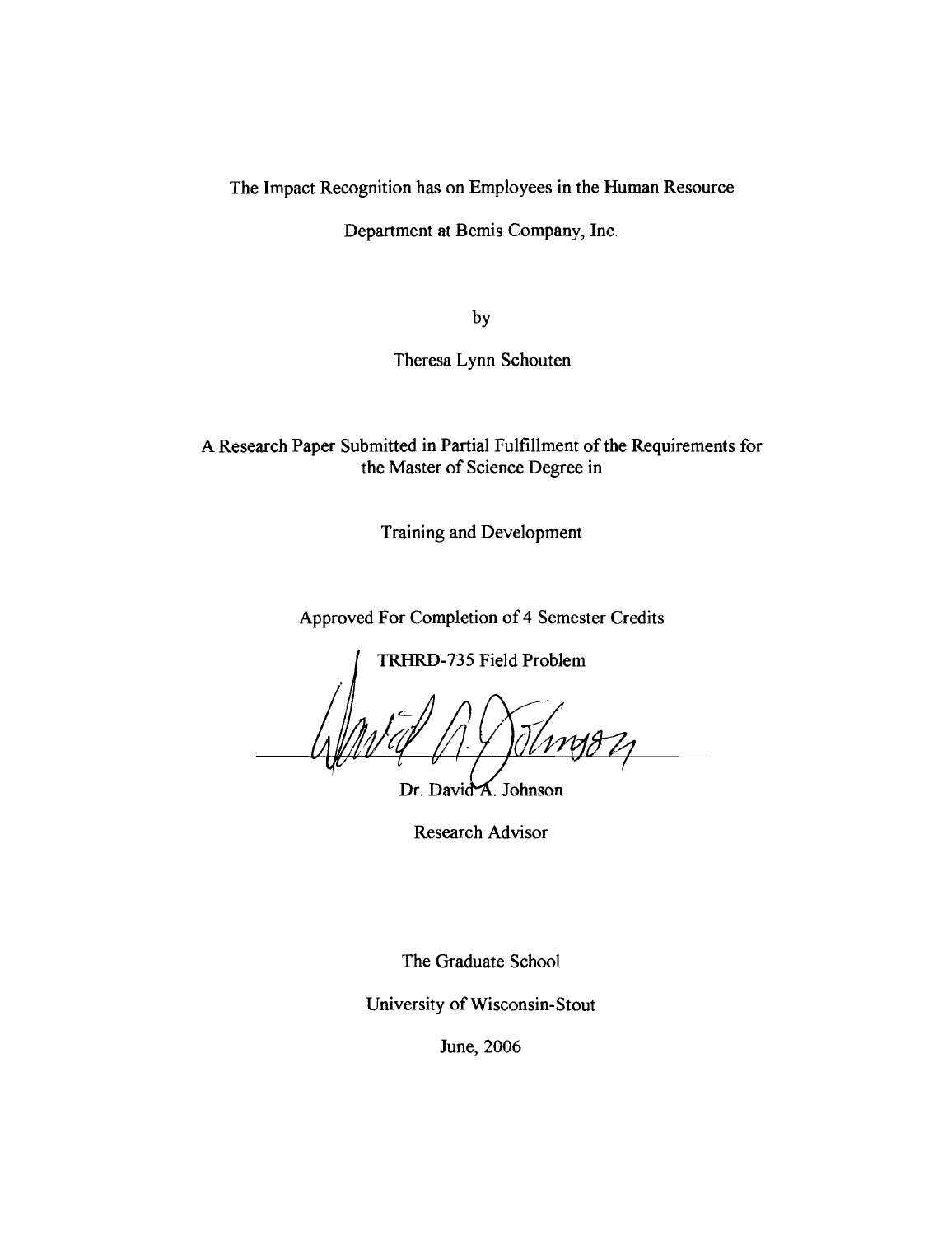The Impact Recognition has on Employees in the Human Resource

Department at Bemis Company, Inc.

by

Theresa Lynn Schouten

A Research Paper Submitted in Partial Fulfillment of the Requirements for the Master of Science Degree in

Training and Development

Approved For Completion of 4 Semester Credits

**TRHRD-735** Field Problem

Dr. David A. Johnson

Research Advisor

The Graduate School

University of Wisconsin-Stout

June, 2006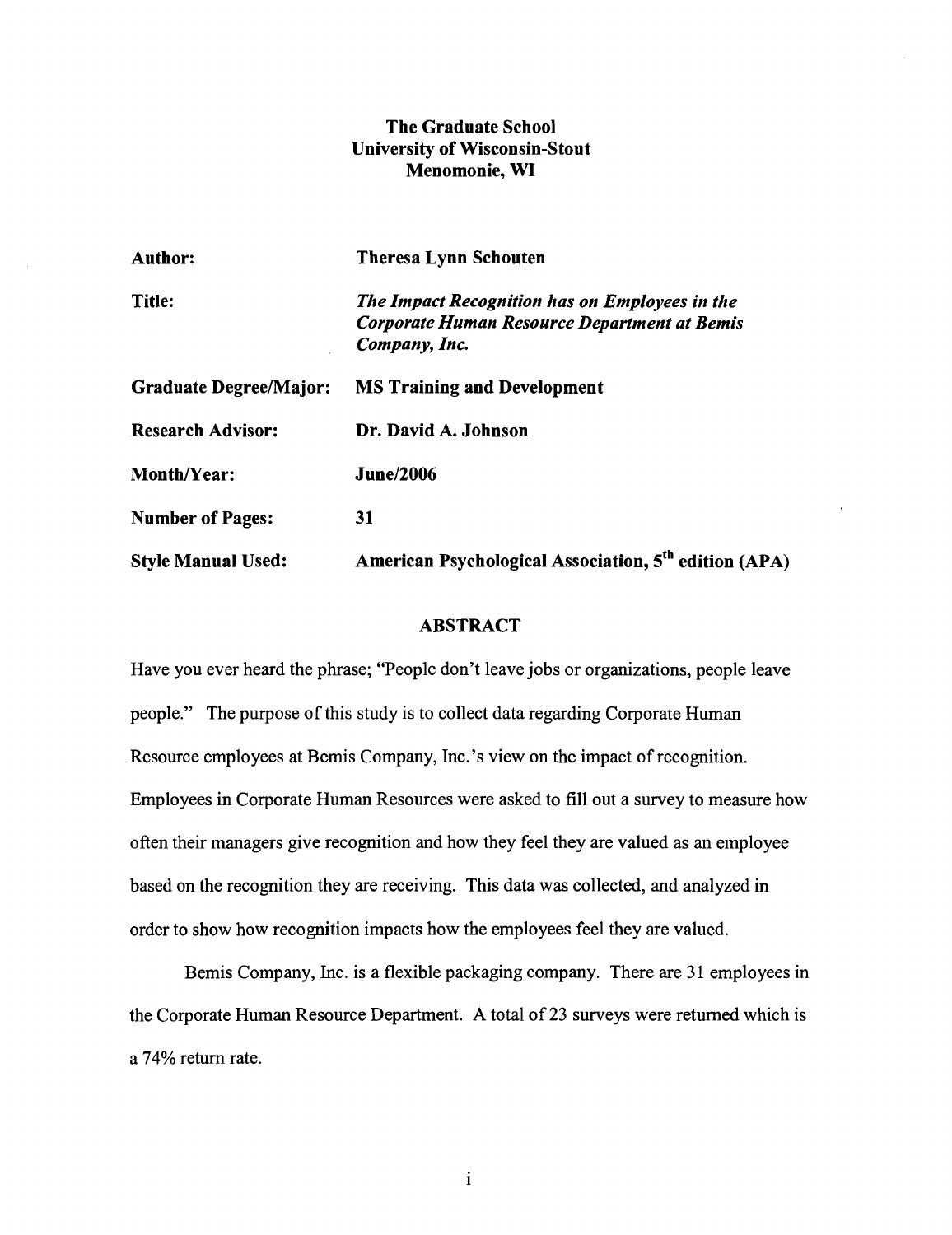# **The Graduate School University of Wisconsin-Stout Menomonie, WI**

| <b>Author:</b>                | <b>Theresa Lynn Schouten</b>                                                                                    |
|-------------------------------|-----------------------------------------------------------------------------------------------------------------|
| Title:                        | The Impact Recognition has on Employees in the<br>Corporate Human Resource Department at Bemis<br>Company, Inc. |
| <b>Graduate Degree/Major:</b> | <b>MS Training and Development</b>                                                                              |
| <b>Research Advisor:</b>      | Dr. David A. Johnson                                                                                            |
| <b>Month/Year:</b>            | <b>June/2006</b>                                                                                                |
| <b>Number of Pages:</b>       | 31                                                                                                              |
| <b>Style Manual Used:</b>     | American Psychological Association, 5 <sup>th</sup> edition (APA)                                               |

# **ABSTRACT**

Have you ever heard the phrase; "People don't leave jobs or organizations, people leave people.'' The purpose of this study is to collect data regarding Corporate Human Resource employees at Bemis Company, Inc.'s view on the impact of recognition. Employees in Corporate Human Resources were asked to fill out a survey to measure how often their managers give recognition and how they feel they are valued as an employee based on the recognition they are receiving. This data was collected, and analyzed in order to show how recognition impacts how the employees feel they are valued.

Bemis Company, Inc. is a flexible packaging company. There are 31 employees in the Corporate Human Resource Department. **A** total of 23 surveys were returned which is a 74% return rate.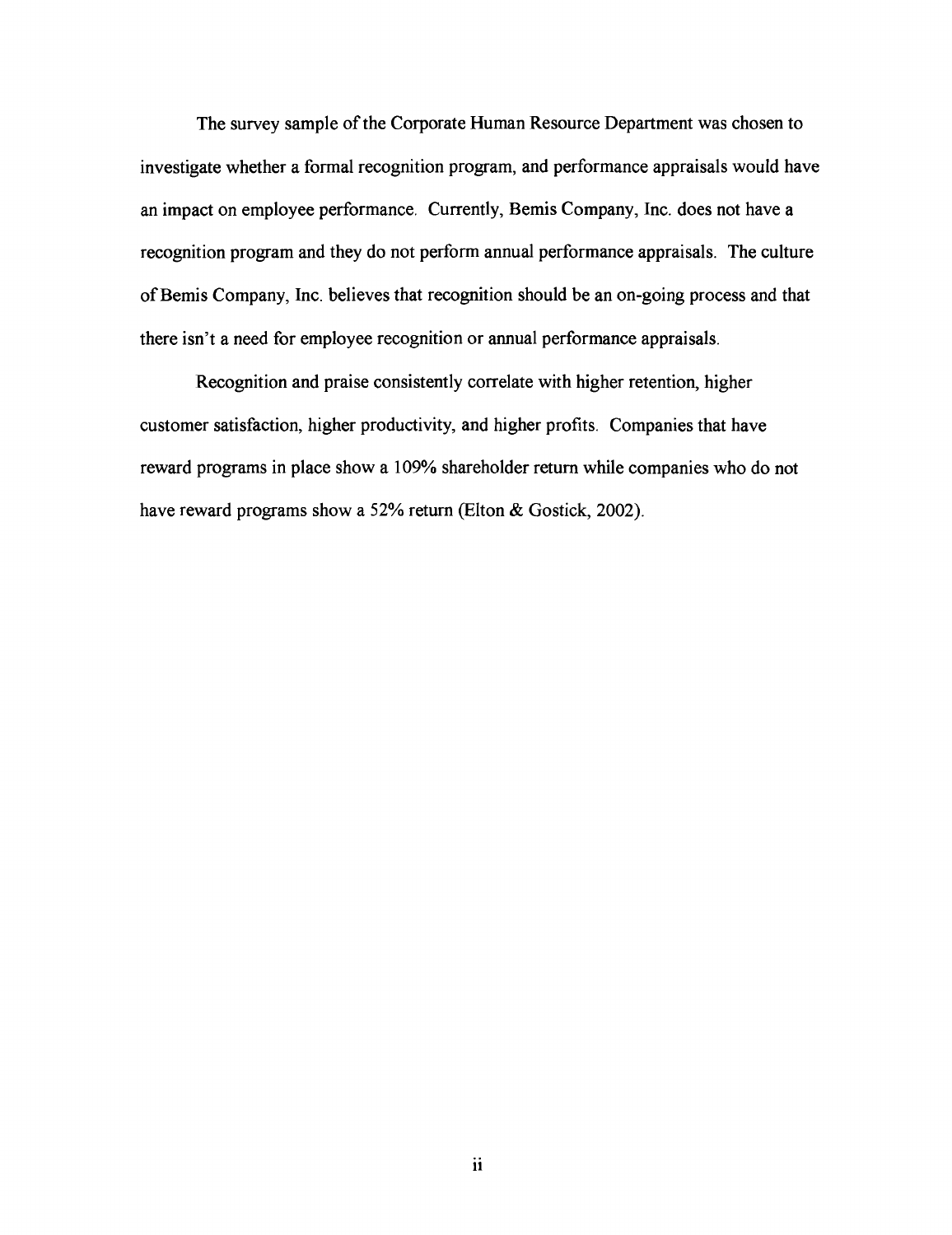The survey sample of the Corporate Human Resource Department was chosen to investigate whether a formal recognition program, and performance appraisals would have an impact on employee performance. Currently, Bemis Company, Inc. does not have a recognition program and they do not perform annual performance appraisals. The culture of Bemis Company, Inc. believes that recognition should be an on-going process and that there isn't a need for employee recognition or annual performance appraisals.

Recognition and praise consistently correlate with higher retention, higher customer satisfaction, higher productivity, and higher profits. Companies that have reward programs in place show a 109% shareholder return while companies who do not have reward programs show a 52% return (Elton & Gostick, 2002).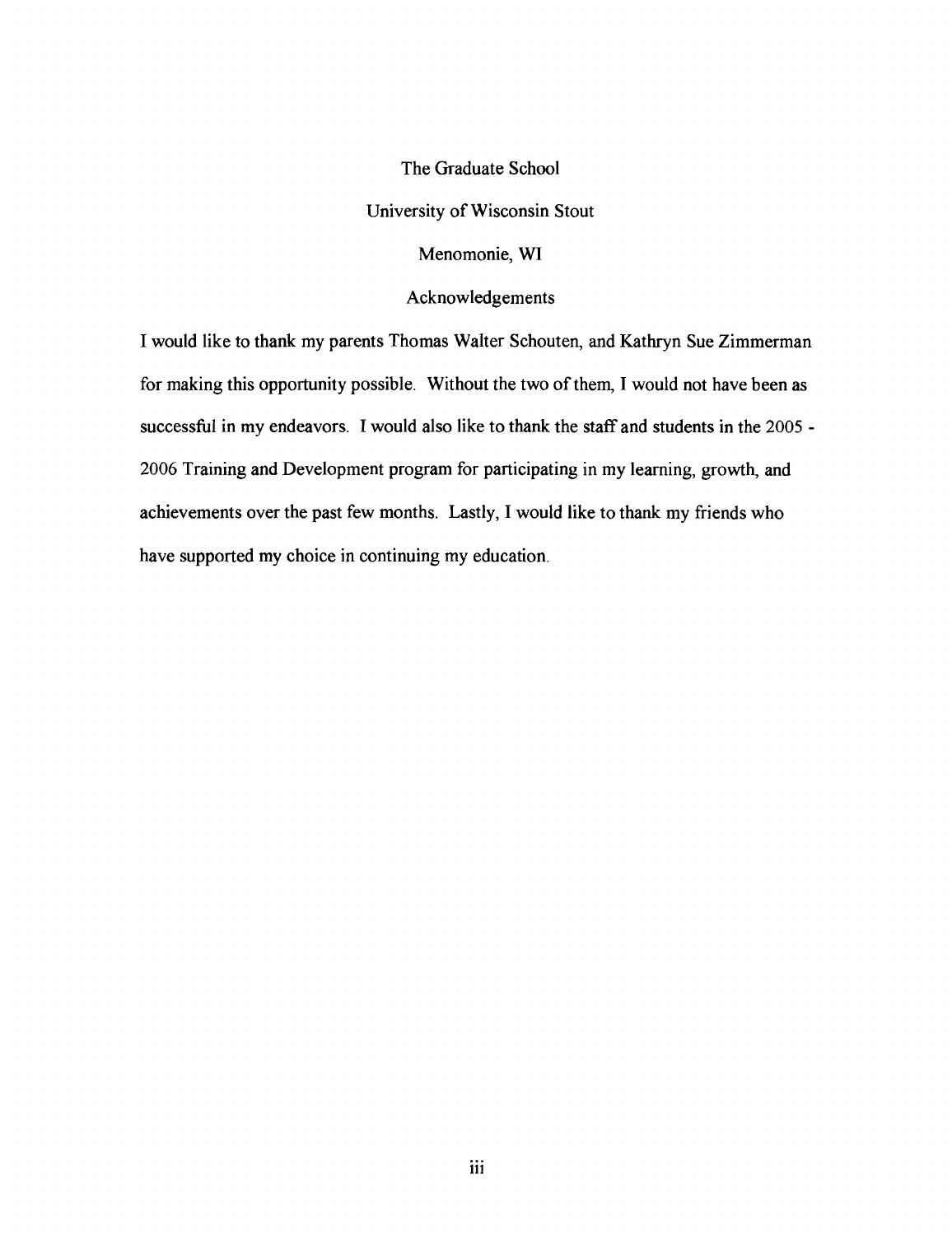The Graduate School University of Wisconsin Stout Menomonie, **WI**  Acknowledgements

I would like to thank my parents Thomas Walter Schouten, and Kathryn Sue Zimmerman for making this opportunity possible. Without the two of them, I would not have been as successful in my endeavors. I would also like to thank the staff and students in the 2005 -2006 Training and Development program for participating in my learning, growth, and achievements over the past few months. Lastly, I would like to thank my friends who have supported my choice in continuing my education.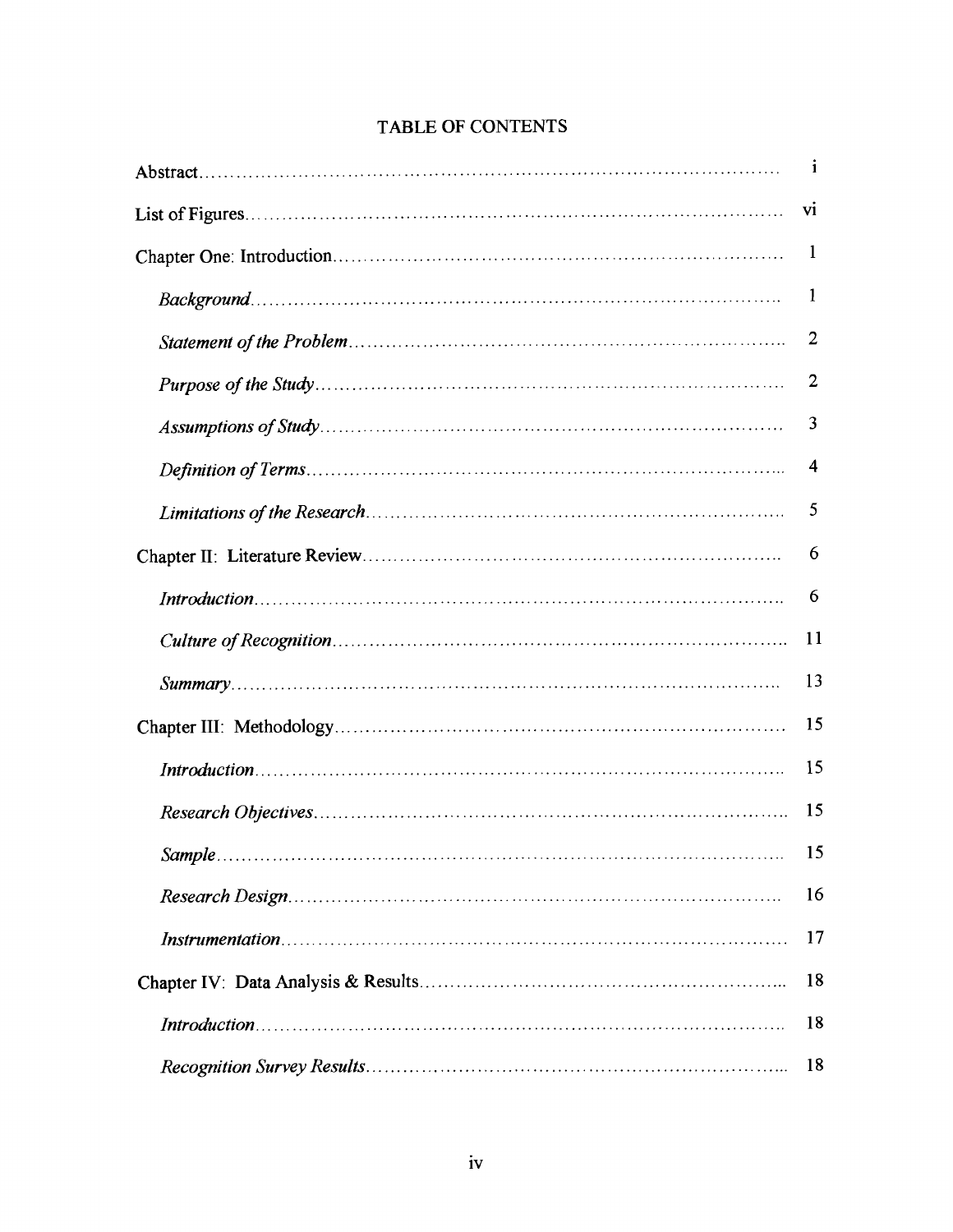| $\mathbf{1}$   |
|----------------|
| V1             |
| 1              |
| 1              |
| $\overline{2}$ |
| 2              |
| 3              |
| 4              |
| 5              |
| 6              |
| 6              |
| 11             |
| 13             |
| 15             |
| 15             |
| 15             |
| 15             |
| 16             |
| 17             |
| 18             |
| 18             |
| 18             |

# **TABLE OF CONTENTS**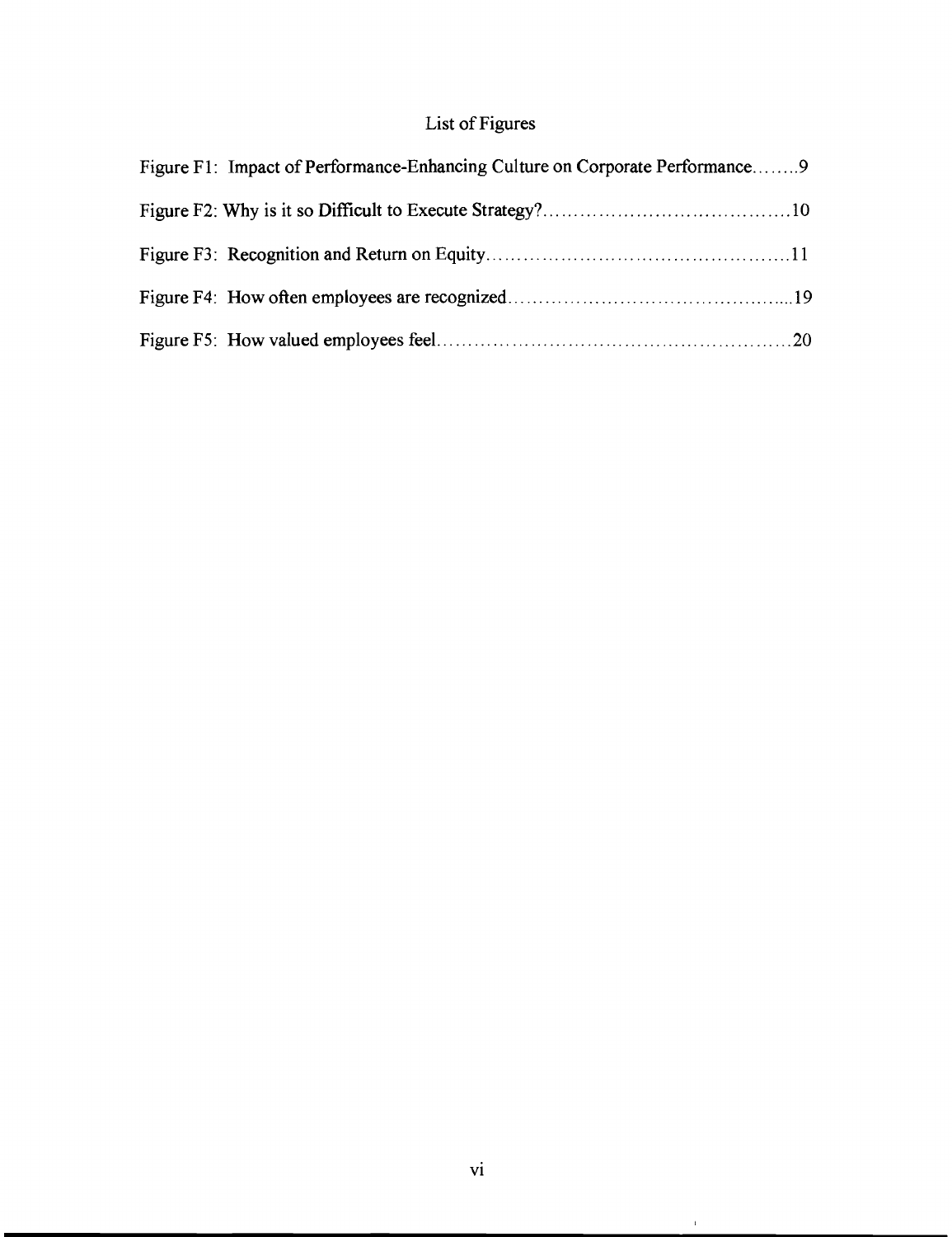# **List of Figures**

| Figure F1: Impact of Performance-Enhancing Culture on Corporate Performance9 |  |
|------------------------------------------------------------------------------|--|
|                                                                              |  |
|                                                                              |  |
|                                                                              |  |
|                                                                              |  |

 $\hat{C}$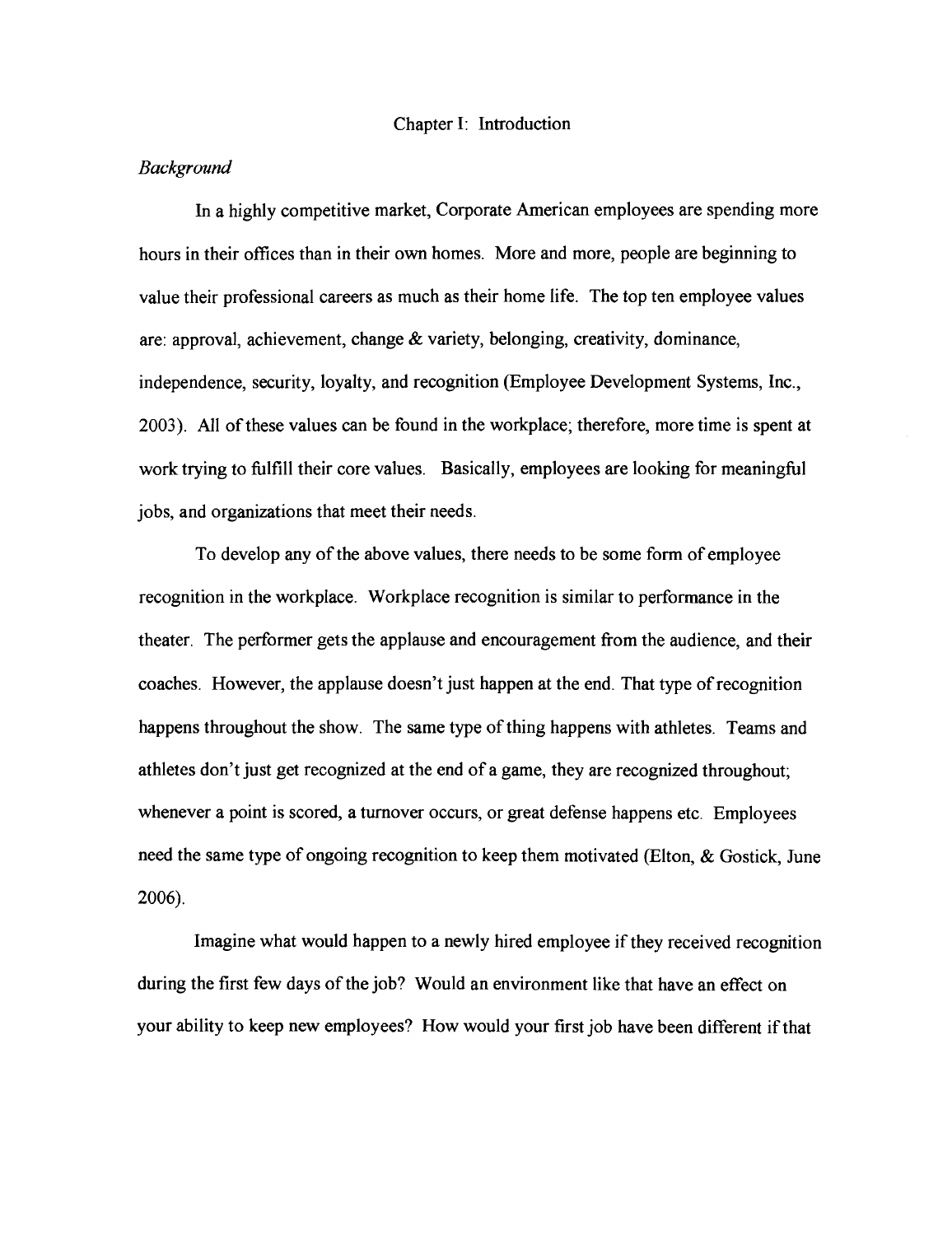#### Chapter I: Introduction

#### *Background*

In a highly competitive market, Corporate American employees are spending more hours in their offices than in their own homes. More and more, people are beginning to value their professional careers as much as their home life. The top ten employee values are: approval, achievement, change  $\&$  variety, belonging, creativity, dominance, independence, security, loyalty, and recognition (Employee Development Systems, Inc., 2003). All of these values can be found in the workplace; therefore, more time is spent at work trying to hlfill their core values. Basically, employees are looking for meaninghl jobs, and organizations that meet their needs.

To develop any of the above values, there needs to be some form of employee recognition in the workplace. Workplace recognition is similar to performance in the theater. The performer gets the applause and encouragement from the audience, and their coaches. However, the applause doesn't just happen at the end. That type of recognition happens throughout the show. The same type of thing happens with athletes. Teams and athletes don't just get recognized at the end of a game, they are recognized throughout; whenever a point is scored, a turnover occurs, or great defense happens etc. Employees need the same type of ongoing recognition to keep them motivated (Elton, & Gostick, June 2006).

Imagine what would happen to a newly hired employee if they received recognition during the first few days of the job? Would an environment like that have an effect on your ability to keep new employees? How would your first job have been different if that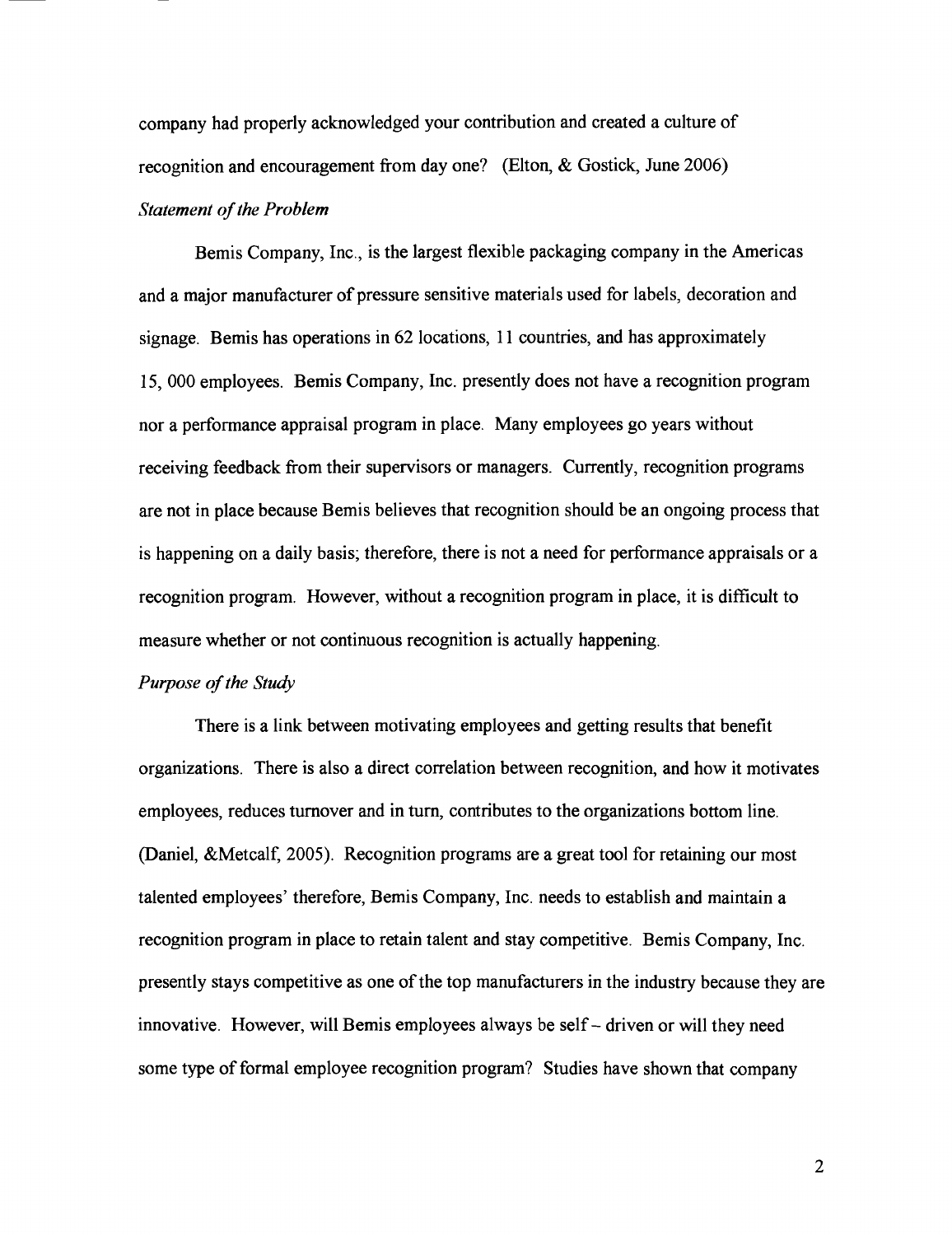company had properly acknowledged your contribution and created a culture of recognition and encouragement from day one? (Elton, & Gostick, June 2006) *Statement of the Problem* 

Bemis Company, Inc., is the largest flexible packaging company in the Americas and a major manufacturer of pressure sensitive materials used for labels, decoration and signage. Bemis has operations in 62 locations, 11 countries, and has approximately 15, 000 employees. Bemis Company, Inc. presently does not have a recognition program nor a performance appraisal program in place. Many employees go years without receiving feedback from their supervisors or managers. Currently, recognition programs are not in place because Bemis believes that recognition should be an ongoing process that is happening on a daily basis; therefore, there is not a need for performance appraisals or a recognition program. However, without a recognition program in place, it is difficult to measure whether or not continuous recognition is actually happening.

## *Purpose of the Study*

There is a link between motivating employees and getting results that benefit organizations. There is also a direct correlation between recognition, and how it motivates employees, reduces turnover and in turn, contributes to the organizations bottom line. (Daniel, &Metcalf, 2005). Recognition programs are a great tool for retaining our most talented employees' therefore, Bemis Company, Inc. needs to establish and maintain a recognition program in place to retain talent and stay competitive. Bemis Company, Inc. presently stays competitive as one of the top manufacturers in the industry because they are innovative. However, will Bemis employees always be self - driven or will they need some type of formal employee recognition program? Studies have shown that company

 $\overline{2}$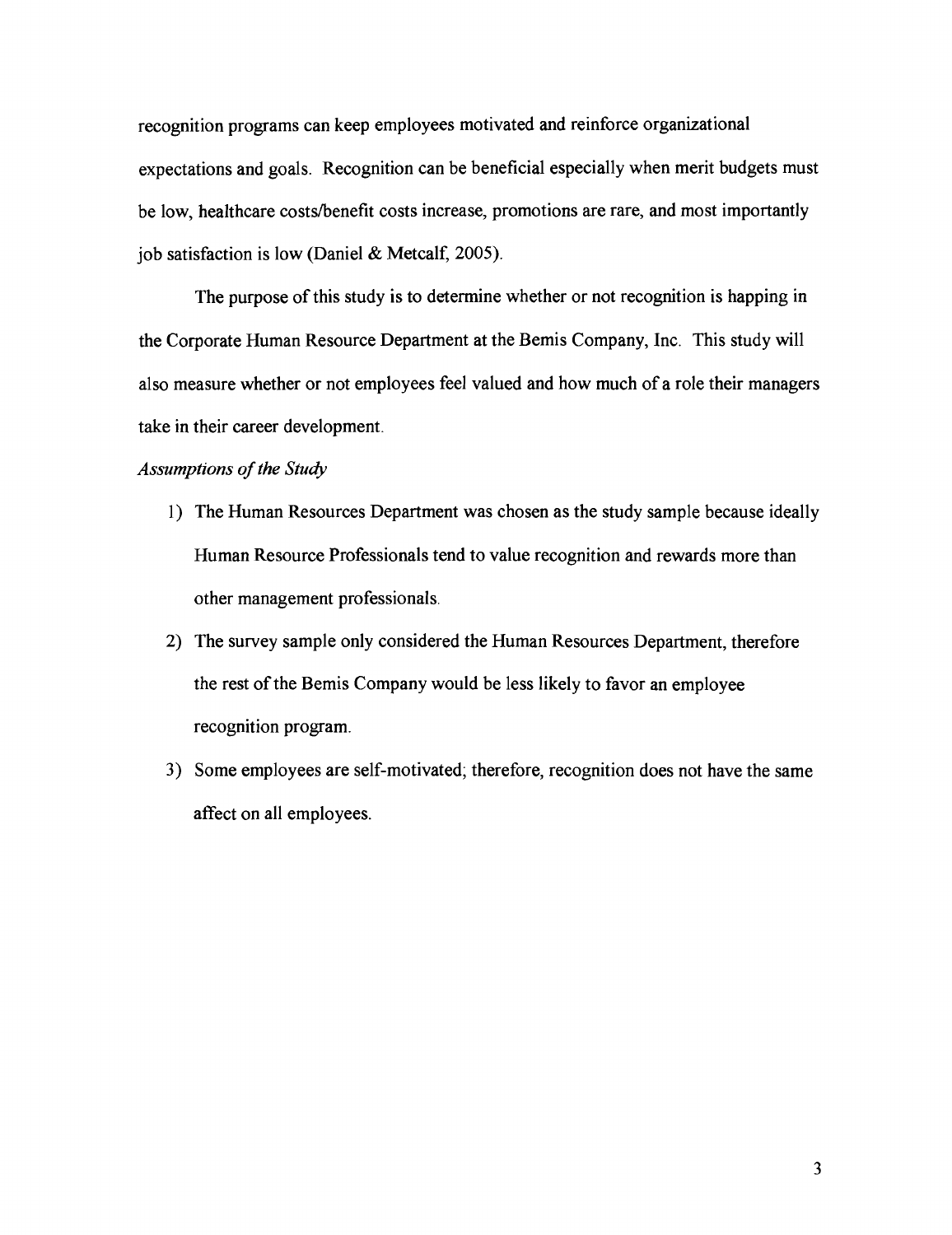recognition programs can keep employees motivated and reinforce organizational expectations and goals. Recognition can be beneficial especially when merit budgets must be low, healthcare costs/benefit costs increase, promotions are rare, and most importantly job satisfaction is low (Daniel & Metcalf, 2005).

The purpose of this study is to determine whether or not recognition is happing in the Corporate Human Resource Department at the Bemis Company, Inc. This study will also measure whether or not employees feel valued and how much of a role their managers take in their career development.

# Assumptions of the Study

- 1) The Human Resources Department was chosen as the study sample because ideally Human Resource Professionals tend to value recognition and rewards more than other management professionals.
- 2) The survey sample only considered the Human Resources Department, therefore the rest of the Bemis Company would be less likely to favor an employee recognition program.
- 3) Some employees are self-motivated; therefore, recognition does not have the same affect on all employees.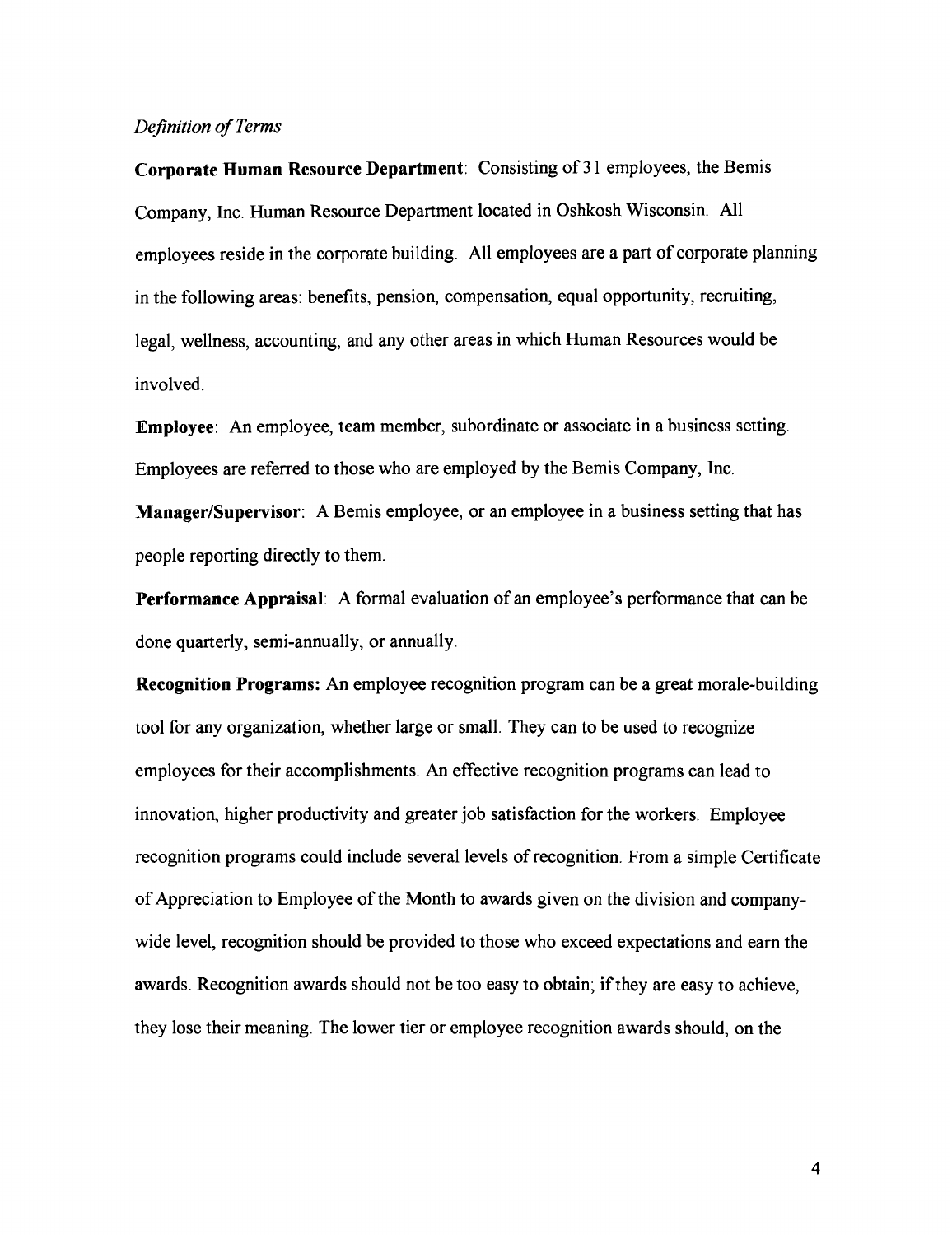## *Definition of Terms*

**Corporate Human Resource Department:** Consisting of **3** 1 employees, the Bemis Company, Inc. Human Resource Department located in Oshkosh Wisconsin. All employees reside in the corporate building. All employees are a part of corporate planning in the following areas: benefits, pension, compensation, equal opportunity, recruiting, legal, wellness, accounting, and any other areas in which Human Resources would be involved.

**Employee:** An employee, team member, subordinate or associate in a business setting. Employees are referred to those who are employed by the Bemis Company, Inc.

**Manager/Supervisor:** A Bemis employee, or an employee in a business setting that has people reporting directly to them.

**Performance Appraisal:** A formal evaluation of an employee's performance that can be done quarterly, semi-annually, or annually.

**Recognition Programs:** An employee recognition program can be a great morale-building tool for any organization, whether large or small. They can to be used to recognize employees for their accomplishments. **An** effective recognition programs can lead to innovation, higher productivity and greater job satisfaction for the workers. Employee recognition programs could include several levels of recognition. From a simple Certificate of Appreciation to Employee of the Month to awards given on the division and companywide level, recognition should be provided to those who exceed expectations and earn the awards. Recognition awards should not be too easy to obtain; if they are easy to achieve, they lose their meaning. The lower tier or employee recognition awards should, on the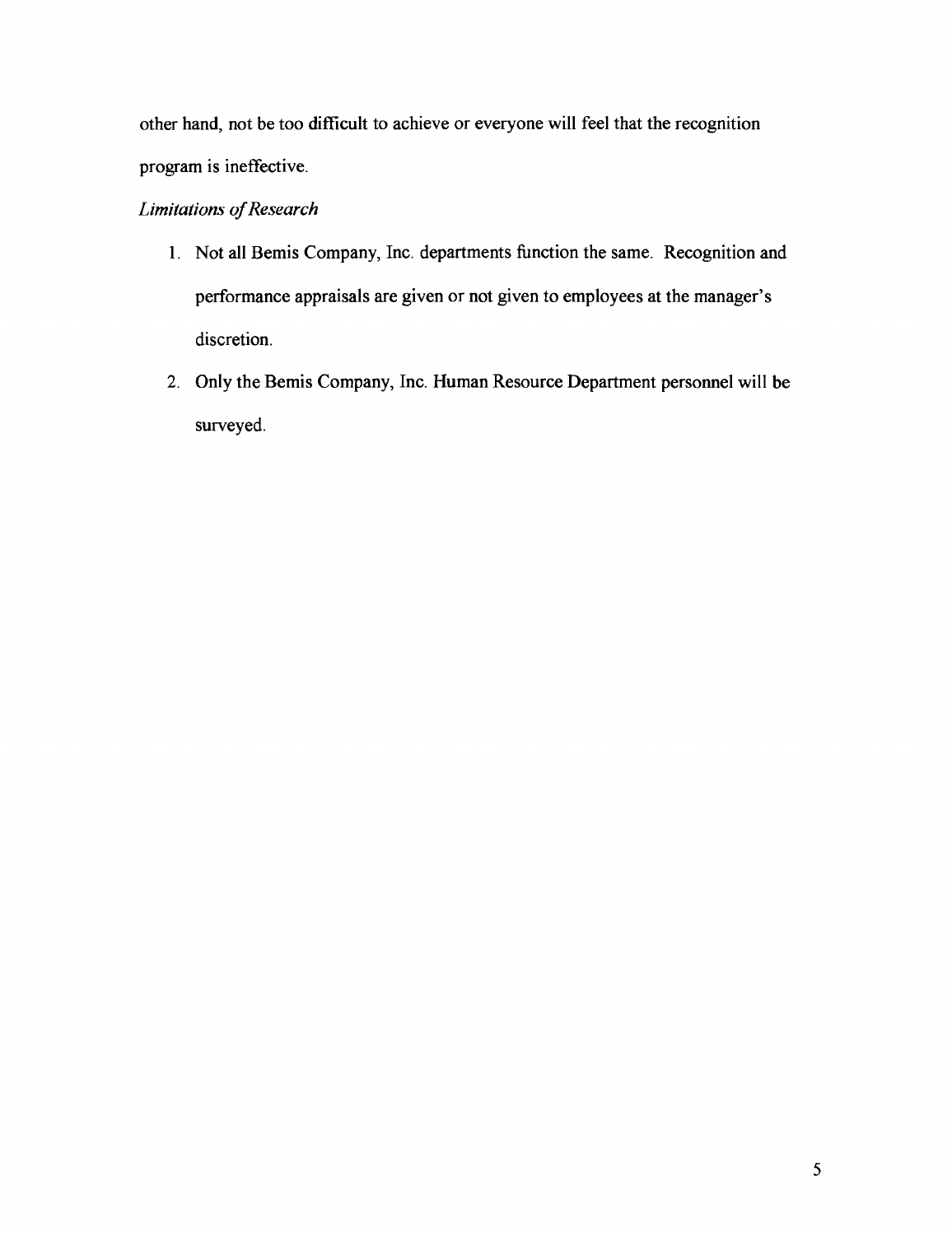other hand, not be too difficult to achieve or everyone will feel that the recognition program is ineffective.

# *Limitations of* Research

- 1. Not all Bemis Company, Inc. departments function the same. Recognition and performance appraisals are given or not given to employees at the manager's discretion.
- 2. Only the Bemis Company, Inc. Human Resource Department personnel will be surveyed.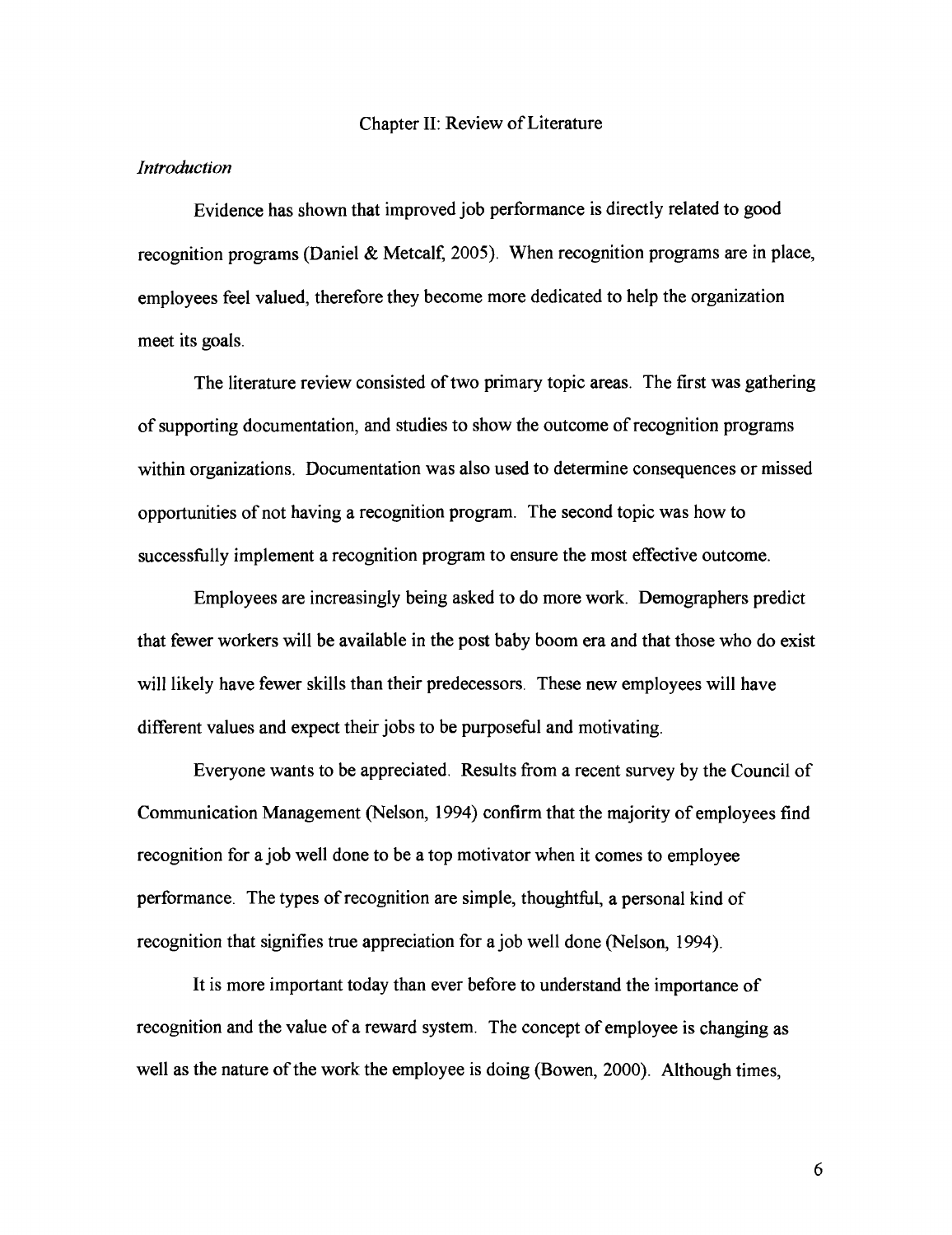#### Chapter **11:** Review of Literature

#### *Introduction*

Evidence has shown that improved job performance is directly related to good recognition programs (Daniel & Metcalf, **2005).** When recognition programs are in place, employees feel valued, therefore they become more dedicated to help the organization meet its goals.

The literature review consisted of two primary topic areas. The first was gathering of supporting documentation, and studies to show the outcome of recognition programs within organizations. Documentation was also used to determine consequences or missed opportunities of not having a recognition program. The second topic was how to successfully implement a recognition program to ensure the most effective outcome.

Employees are increasingly being asked to do more work. Demographers predict that fewer workers will be available in the post baby boom era and that those who do exist will likely have fewer skills than their predecessors. These new employees will have different values and expect their jobs to be purposeful and motivating.

Everyone wants to be appreciated. Results from a recent survey by the Council of Communication Management (Nelson, **1994)** confirm that the majority of employees find recognition for a job well done to be a top motivator when it comes to employee performance. The types of recognition are simple, thoughthl, a personal kind of recognition that signifies true appreciation for a job well done (Nelson, **1994).** 

It is more important today than ever before to understand the importance of recognition and the value of a reward system. The concept of employee is changing as well as the nature of the work the employee is doing (Bowen, **2000).** Although times,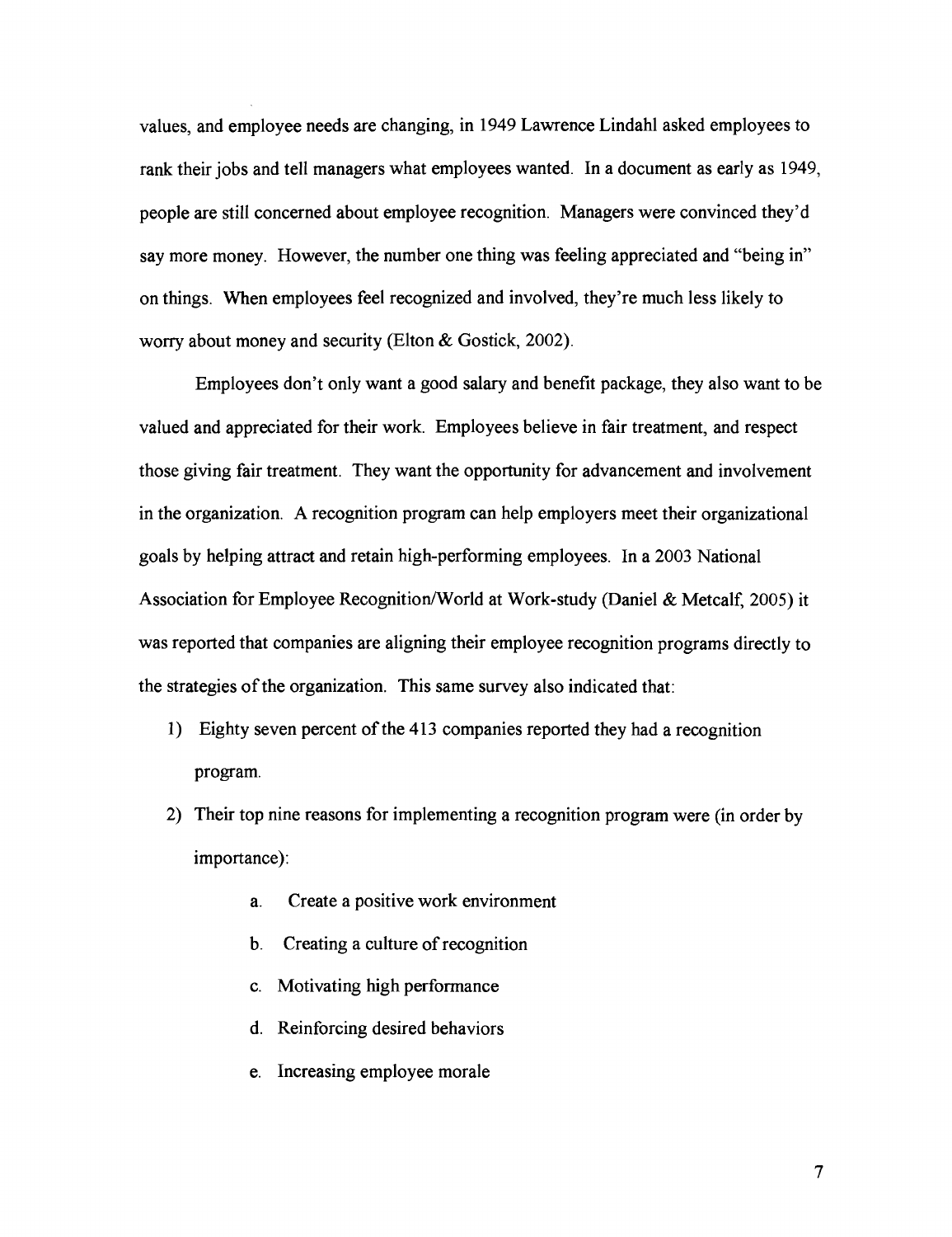values, and employee needs are changing, in 1949 Lawrence Lindahl asked employees to rank their jobs and tell managers what employees wanted. In a document as early as 1949, people are still concerned about employee recognition. Managers were convinced they'd say more money. However, the number one thing was feeling appreciated and "being in" on things. When employees feel recognized and involved, they're much less likely to worry about money and security (Elton & Gostick, 2002).

Employees don't only want a good salary and benefit package, they also want to be valued and appreciated for their work. Employees believe in fair treatment, and respect those giving fair treatment. They want the opportunity for advancement and involvement in the organization. A recognition program can help employers meet their organizational goals by helping attract and retain high-performing employees. In a 2003 National Association for Employee Recognition/World at Work-study (Daniel & Metcalf, 2005) it was reported that companies are aligning their employee recognition programs directly to the strategies of the organization. This same survey also indicated that:

- 1) Eighty seven percent of the 413 companies reported they had a recognition program.
- 2) Their top nine reasons for implementing a recognition program were (in order by importance):
	- a. Create a positive work environment
	- b. Creating a culture of recognition
	- c. Motivating high performance
	- d. Reinforcing desired behaviors
	- e. Increasing employee morale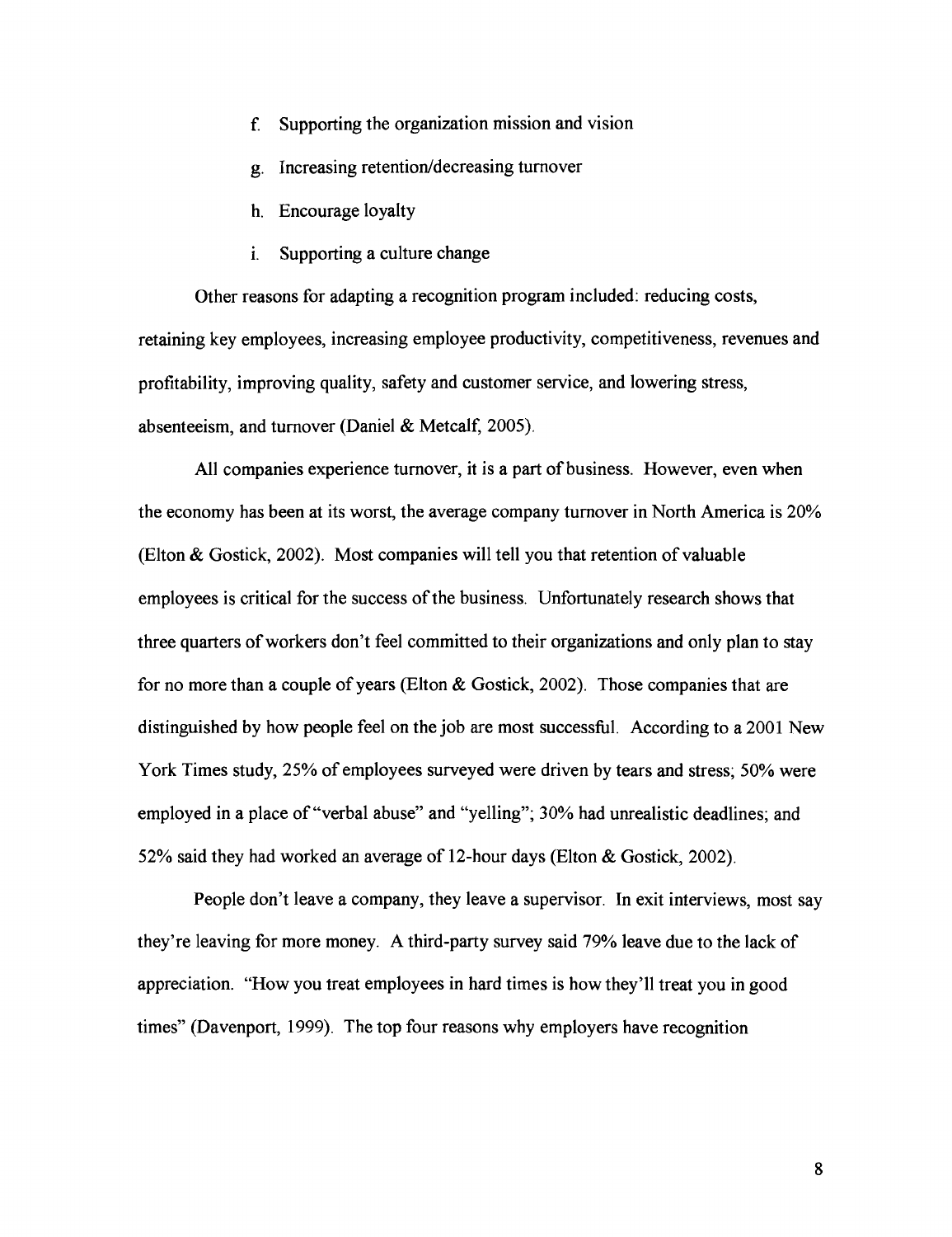- f. Supporting the organization mission and vision
- g. Increasing retention/decreasing turnover
- h. Encourage loyalty
- i. Supporting a culture change

Other reasons for adapting a recognition program included: reducing costs, retaining key employees, increasing employee productivity, competitiveness, revenues and profitability, improving quality, safety and customer service, and lowering stress, absenteeism, and turnover (Daniel & Metcalf, 2005).

All companies experience turnover, it is a part of business. However, even when the economy has been at its worst, the average company turnover in North America is 20% (Elton & Gostick, 2002). Most companies will tell you that retention of valuable employees is critical for the success of the business. Unfortunately research shows that three quarters of workers don't feel committed to their organizations and only plan to stay for no more than a couple of years (Elton  $\&$  Gostick, 2002). Those companies that are distinguished by how people feel on the job are most successful. According to a 2001 New York Times study, 25% of employees surveyed were driven by tears and stress; 50% were employed in a place of "verbal abuse" and "yelling"; 30% had unrealistic deadlines; and 52% said they had worked an average of 12-hour days (Elton & Gostick, 2002).

People don't leave a company, they leave a supervisor. In exit interviews, most say they're leaving for more money. A third-party survey said 79% leave due to the lack of appreciation. "How you treat employees in hard times is how they'll treat you in good times" (Davenport, 1999). The top four reasons why employers have recognition

8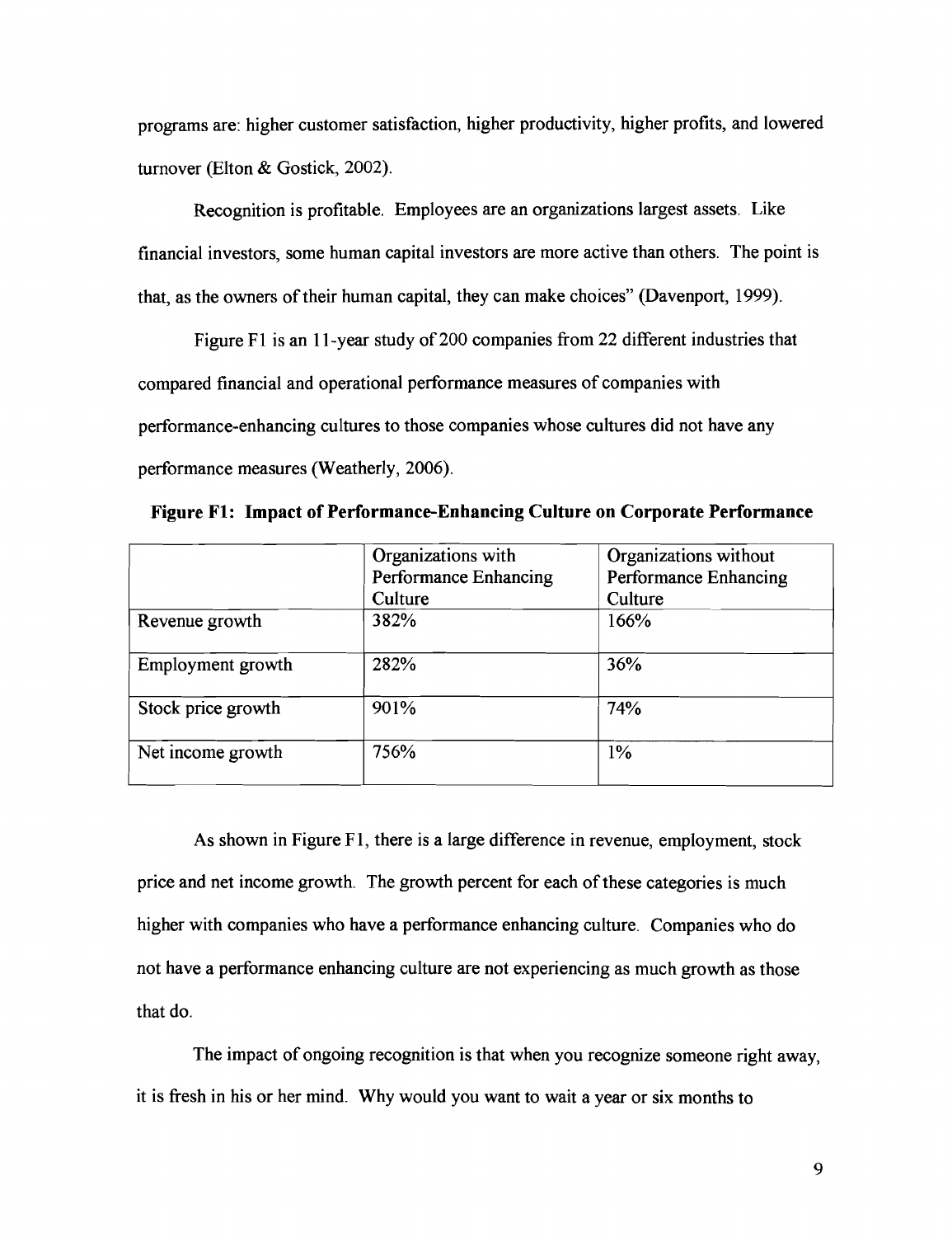programs are: higher customer satisfaction, higher productivity, higher profits, and lowered turnover (Elton & Gostick, 2002).

Recognition is profitable. Employees are an organizations largest assets. Like financial investors, some human capital investors are more active than others. The point is that, as the owners of their human capital, they can make choices" (Davenport, 1999).

Figure F1 is an 11-year study of 200 companies from 22 different industries that compared financial and operational performance measures of companies with performance-enhancing cultures to those companies whose cultures did not have any performance measures (Weatherly, 2006).

|                    | Organizations with    | Organizations without |  |  |
|--------------------|-----------------------|-----------------------|--|--|
|                    | Performance Enhancing | Performance Enhancing |  |  |
|                    | Culture               | Culture               |  |  |
| Revenue growth     | 382%                  | 166%                  |  |  |
| Employment growth  | 282%                  | 36%                   |  |  |
| Stock price growth | 901%                  | 74%                   |  |  |
| Net income growth  | 756%                  | 1%                    |  |  |

**Figure F1: Impact of Performance-Enhancing Culture on Corporate Performance** 

As shown in Figure F1, there is a large difference in revenue, employment, stock price and net income growth. The growth percent for each of these categories is much higher with companies who have a performance enhancing culture. Companies who do not have a performance enhancing culture are not experiencing as much growth as those that do.

The impact of ongoing recognition is that when you recognize someone right away, it is fresh in his or her mind. Why would you want to wait a year or six months to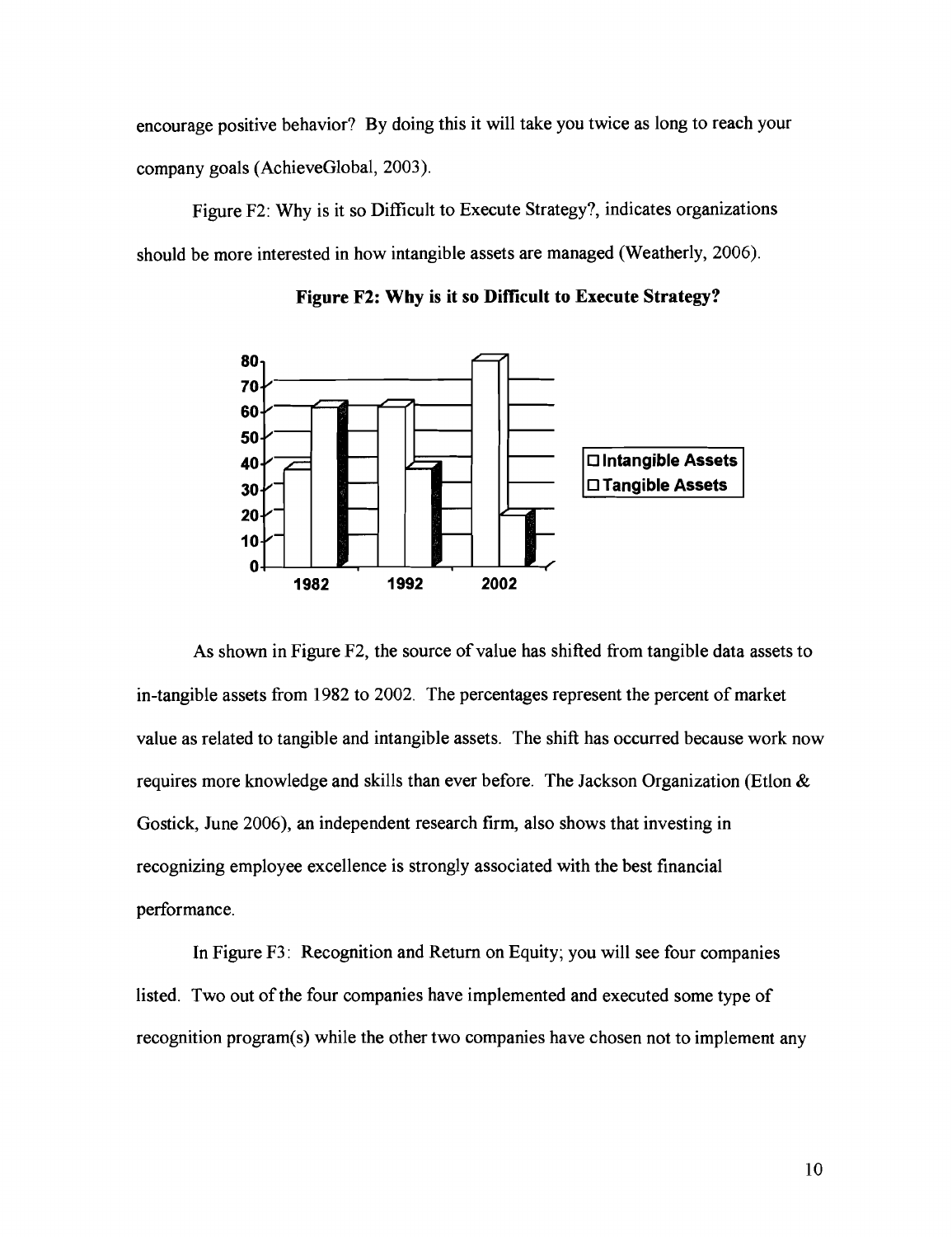encourage positive behavior? By doing this it will take you twice as long to reach your company goals (AchieveGlobal, 2003).

Figure F2: Why is it so Difficult to Execute Strategy?, indicates organizations should be more interested in how intangible assets are managed (Weatherly, 2006).



**Figure F2: Why is it so Difficult to Execute Strategy?** 

As shown in Figure F2, the source of value has shifted from tangible data assets to in-tangible assets from 1982 to 2002. The percentages represent the percent of market value as related to tangible and intangible assets. The shift has occurred because work now requires more knowledge and skills than ever before. The Jackson Organization (Etlon & Gostick, June 2006), an independent research firm, also shows that investing in recognizing employee excellence is strongly associated with the best financial performance.

In Figure F3: Recognition and Return on Equity; you will see four companies listed. Two out of the four companies have implemented and executed some type of recognition program(s) while the other two companies have chosen not to implement any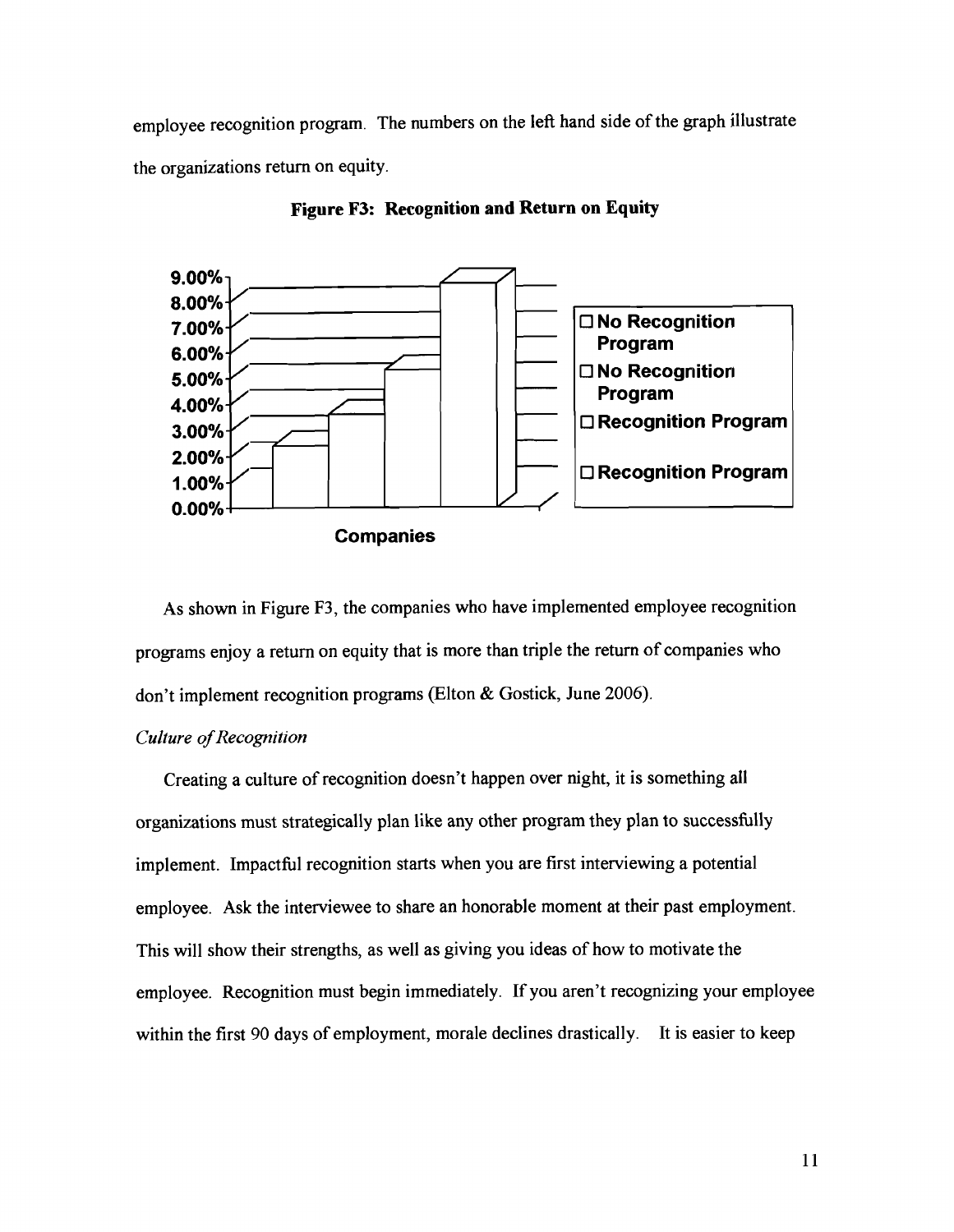employee recognition program. The numbers on the left hand side of the graph illustrate the organizations return on equity.



**Figure F3: Recognition and Return on Equity** 

As shown in Figure F3, the companies who have implemented employee recognition programs enjoy a return on equity that is more than triple the return of companies who don't implement recognition programs (Elton & Gostick, June 2006).

# *Culture of Recognition*

Creating a culture of recognition doesn't happen over night, it is something all organizations must strategically plan like any other program they plan to successfully implement. Impactful recognition starts when you are first interviewing a potential employee. Ask the interviewee to share an honorable moment at their past employment. This will show their strengths, as well as giving you ideas of how to motivate the employee. Recognition must begin immediately. If you aren't recognizing your employee within the first 90 days of employment, morale declines drastically. It is easier to keep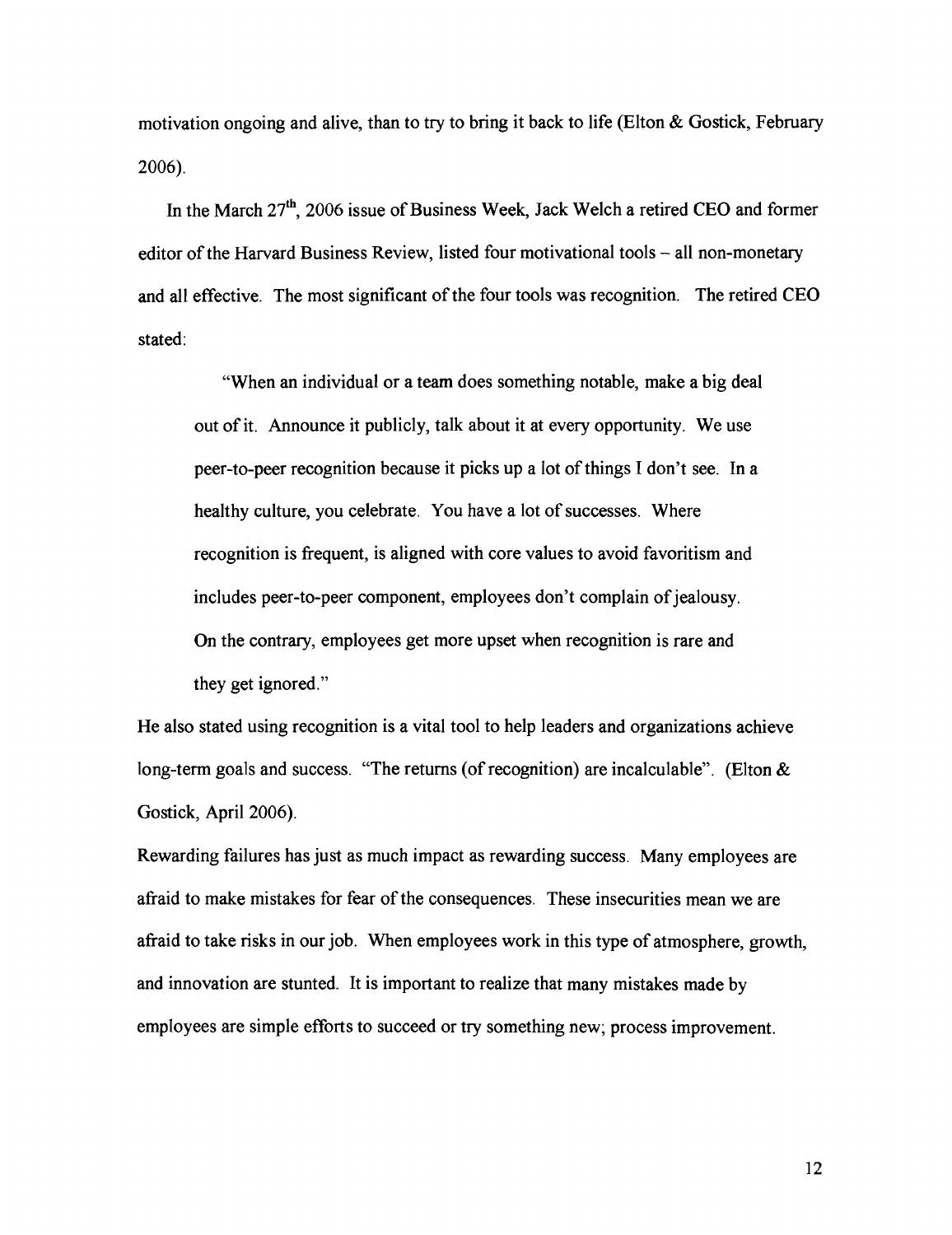motivation ongoing and alive, than to try to bring it back to life (Elton & Gostick, February 2006).

In the March 27th, 2006 issue of Business Week, Jack Welch a retired **CEO** and former editor of the Harvard Business Review, listed four motivational tools - all non-monetary and all effective. The most significant of the four tools was recognition. The retired **CEO**  stated:

"When an individual or a team does something notable, make a big deal out of it. Announce it publicly, talk about it at every opportunity. We use peer-to-peer recognition because it picks up a lot of things I don't see. In a healthy culture, you celebrate. You have a lot of successes. Where recognition is fiequent, is aligned with core values to avoid favoritism and includes peer-to-peer component, employees don't complain of jealousy. On the contrary, employees get more upset when recognition is rare and they get ignored."

He also stated using recognition is a vital tool to help leaders and organizations achieve long-term goals and success. "The returns (of recognition) are incalculable". (Elton & Gostick, April 2006).

Rewarding failures has just as much impact as rewarding success. Many employees are afiaid to make mistakes for fear of the consequences. These insecurities mean we are afiaid to take risks in our job. When employees work in this type of atmosphere, growth, and innovation are stunted. It is important to realize that many mistakes made by employees are simple efforts to succeed or try something new; process improvement.

12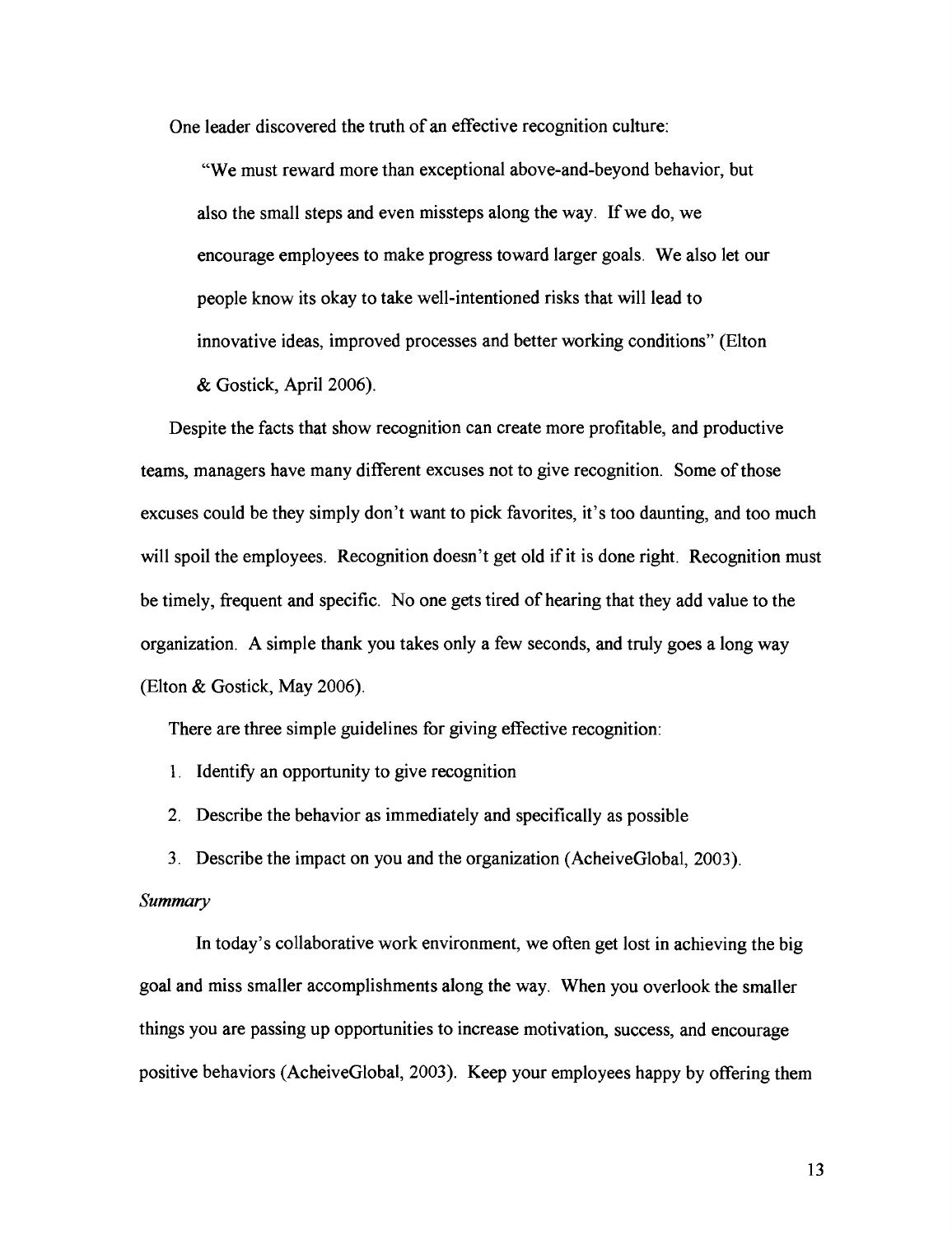One leader discovered the truth of an effective recognition culture:

"We must reward more than exceptional above-and-beyond behavior, but also the small steps and even missteps along the way. If we do, we encourage employees to make progress toward larger goals. We also let our people know its okay to take well-intentioned risks that will lead to innovative ideas, improved processes and better working conditions" (Elton & Gostick, April 2006).

Despite the facts that show recognition can create more profitable, and productive teams, managers have many different excuses not to give recognition. Some of those excuses could be they simply don't want to pick favorites, it's too daunting, and too much will spoil the employees. Recognition doesn't get old if it is done right. Recognition must be timely, frequent and specific. No one gets tired of hearing that they add value to the organization. A simple thank you takes only a few seconds, and truly goes a long way (Elton & Gostick, May 2006).

There are three simple guidelines for giving effective recognition:

1. Identify an opportunity to give recognition

2. Describe the behavior as immediately and specifically as possible

3. Describe the impact on you and the organization (AcheiveGlobal, 2003).

# *Summary*

In today's collaborative work environment, we often get lost in achieving the big goal and miss smaller accomplishments along the way. When you overlook the smaller things you are passing up opportunities to increase motivation, success, and encourage positive behaviors (AcheiveGlobal, 2003). Keep your employees happy by offering them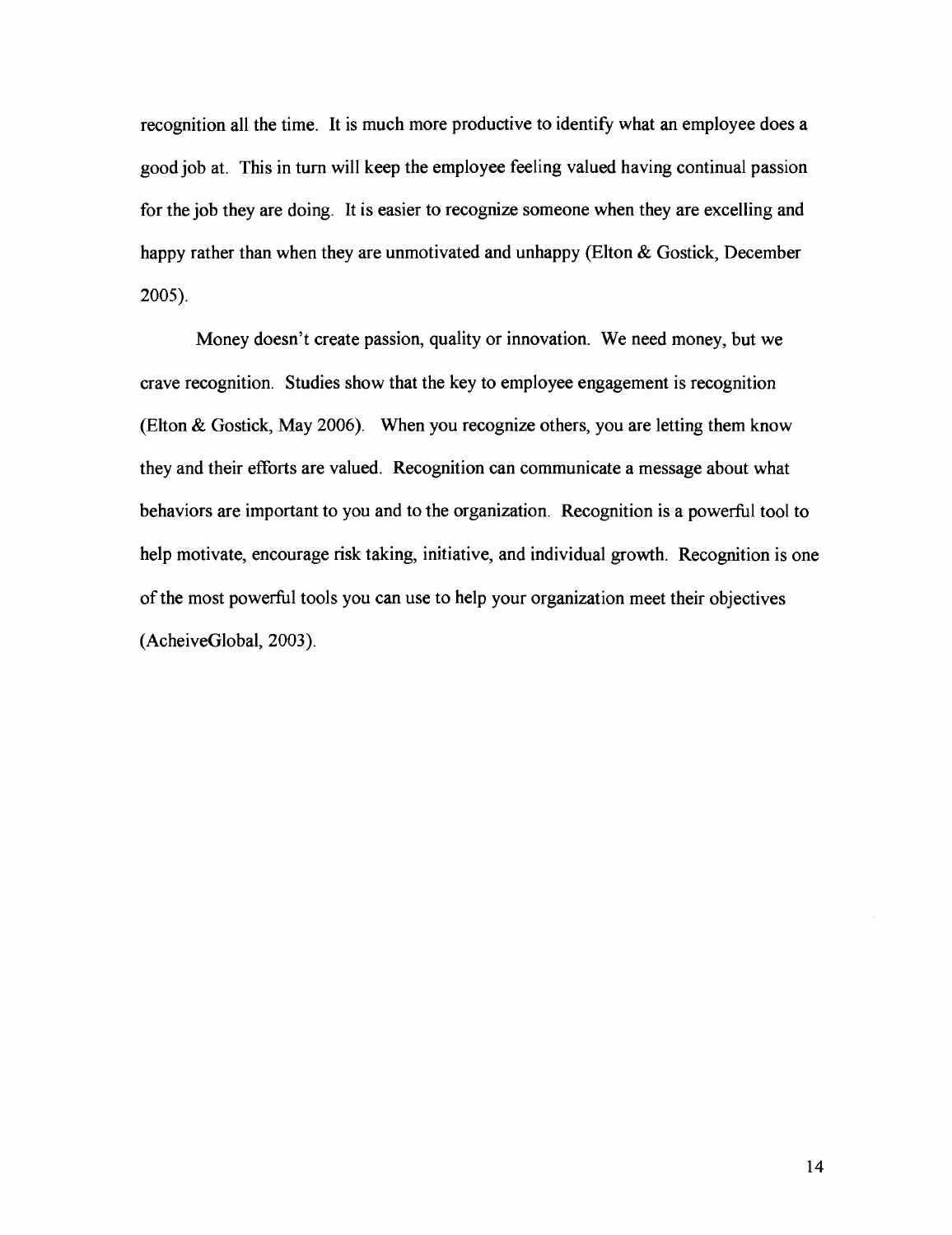recognition all the time. It is much more productive to identify what an employee does a good job at. This in turn will keep the employee feeling valued having continual passion for the job they are doing. It is easier to recognize someone when they are excelling and happy rather than when they are unmotivated and unhappy (Elton & Gostick, December 2005).

Money doesn't create passion, quality or innovation. We need money, but we crave recognition. Studies show that the key to employee engagement is recognition (Elton & Gostick, May 2006). When you recognize others, you are letting them know they and their efforts are valued. Recognition can communicate a message about what behaviors are important to you and to the organization. Recognition is a powerful tool to help motivate, encourage risk taking, initiative, and individual growth. Recognition is one of the most powerfbl tools you can use to help your organization meet their objectives (AcheiveGlobal, 2003).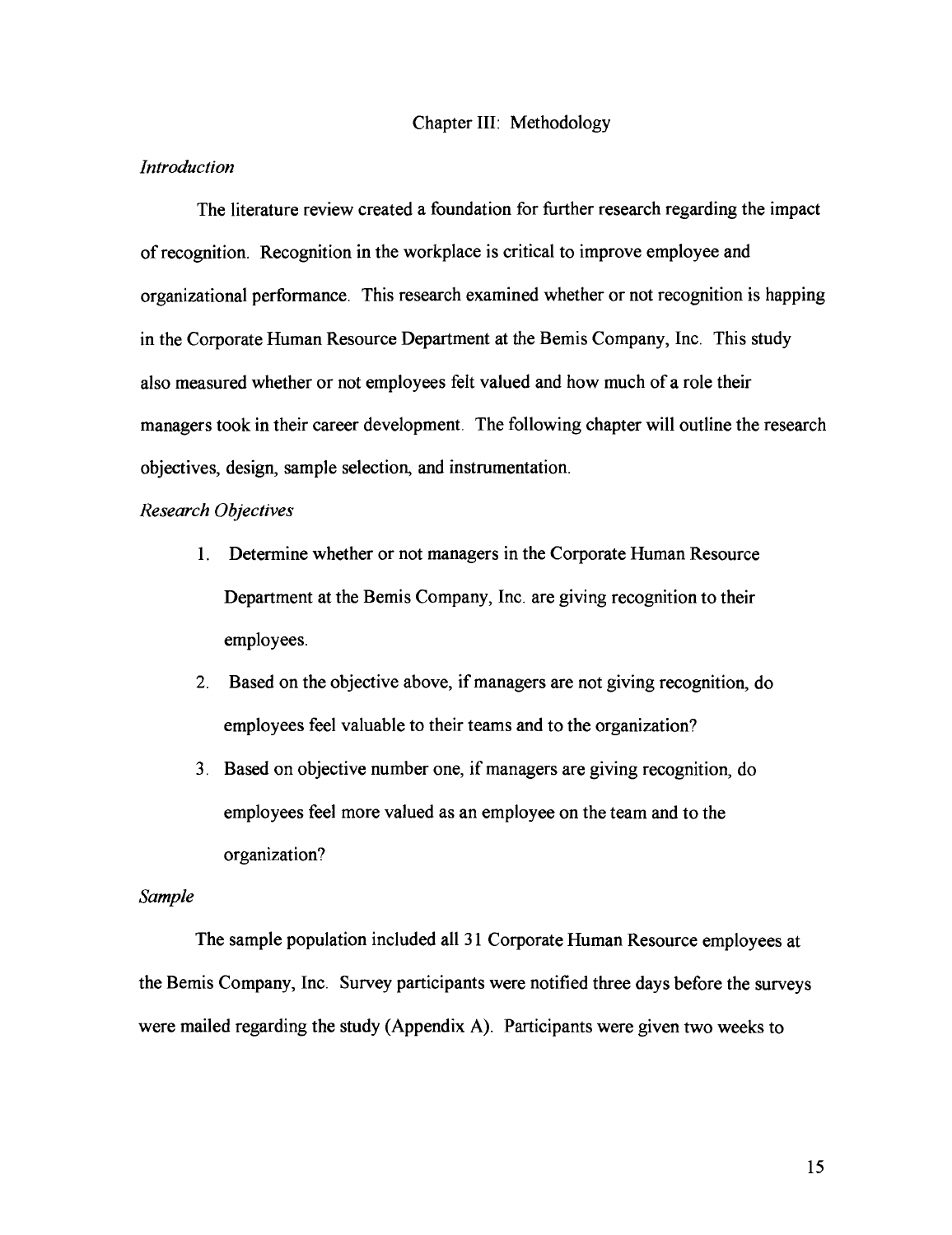## Chapter 111: Methodology

#### *Introduction*

The literature review created a foundation for further research regarding the impact of recognition. Recognition in the workplace is critical to improve employee and organizational performance. This research examined whether or not recognition is happing in the Corporate Human Resource Department at the Bemis Company, Inc. This study also measured whether or not employees felt valued and how much of a role their managers took in their career development. The following chapter will outline the research objectives, design, sample selection, and instrumentation.

# *Research Objectives*

- 1. Determine whether or not managers in the Corporate Human Resource Department at the Bemis Company, Inc. are giving recognition to their employees.
- 2. Based on the objective above, if managers are not giving recognition, do employees feel valuable to their teams and to the organization?
- 3. Based on objective number one, if managers are giving recognition, do employees feel more valued as an employee on the team and to the organization?

# *Sample*

The sample population included all 31 Corporate Human Resource employees at the Bemis Company, Inc. Survey participants were notified three days before the surveys were mailed regarding the study (Appendix A). Participants were given two weeks to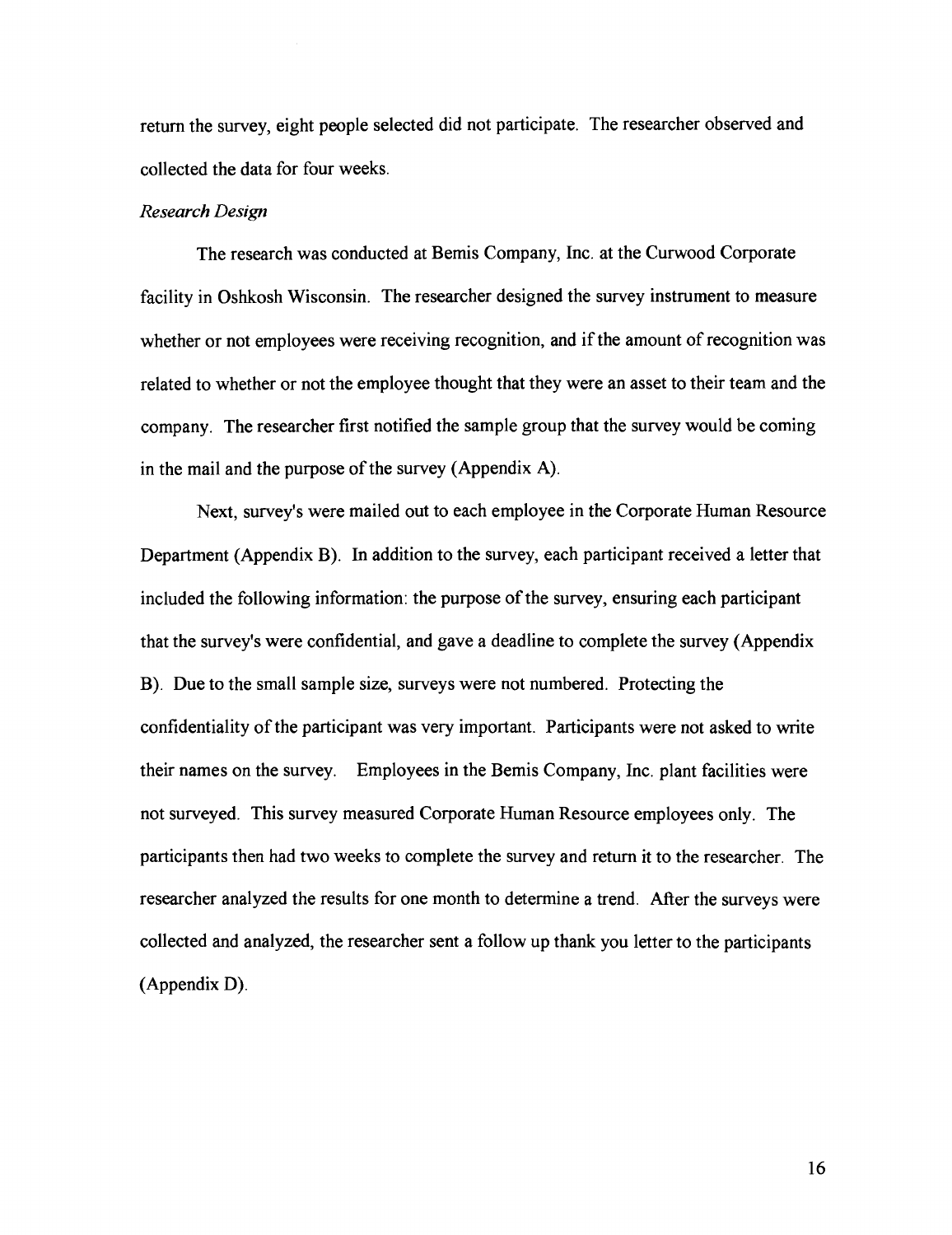return the survey, eight people selected did not participate. The researcher observed and collected the data for four weeks.

#### *Research Design*

The research was conducted at Bemis Company, Inc. at the Curwood Corporate facility in Oshkosh Wisconsin. The researcher designed the survey instrument to measure whether or not employees were receiving recognition, and if the amount of recognition was related to whether or not the employee thought that they were an asset to their team and the company. The researcher first notified the sample group that the survey would be coming in the mail and the purpose of the survey (Appendix A).

Next, survey's were mailed out to each employee in the Corporate Human Resource Department (Appendix B). In addition to the survey, each participant received a letter that included the following information: the purpose of the survey, ensuring each participant that the survey's were confidential, and gave a deadline to complete the survey (Appendix B). Due to the small sample size, surveys were not numbered. Protecting the confidentiality of the participant was very important. Participants were not asked to write their names on the survey. Employees in the Bemis Company, Inc. plant facilities were not surveyed. This survey measured Corporate Human Resource employees only. The participants then had two weeks to complete the survey and return it to the researcher. The researcher analyzed the results for one month to determine a trend. After the surveys were collected and analyzed, the researcher sent a follow up thank you letter to the participants (Appendix D).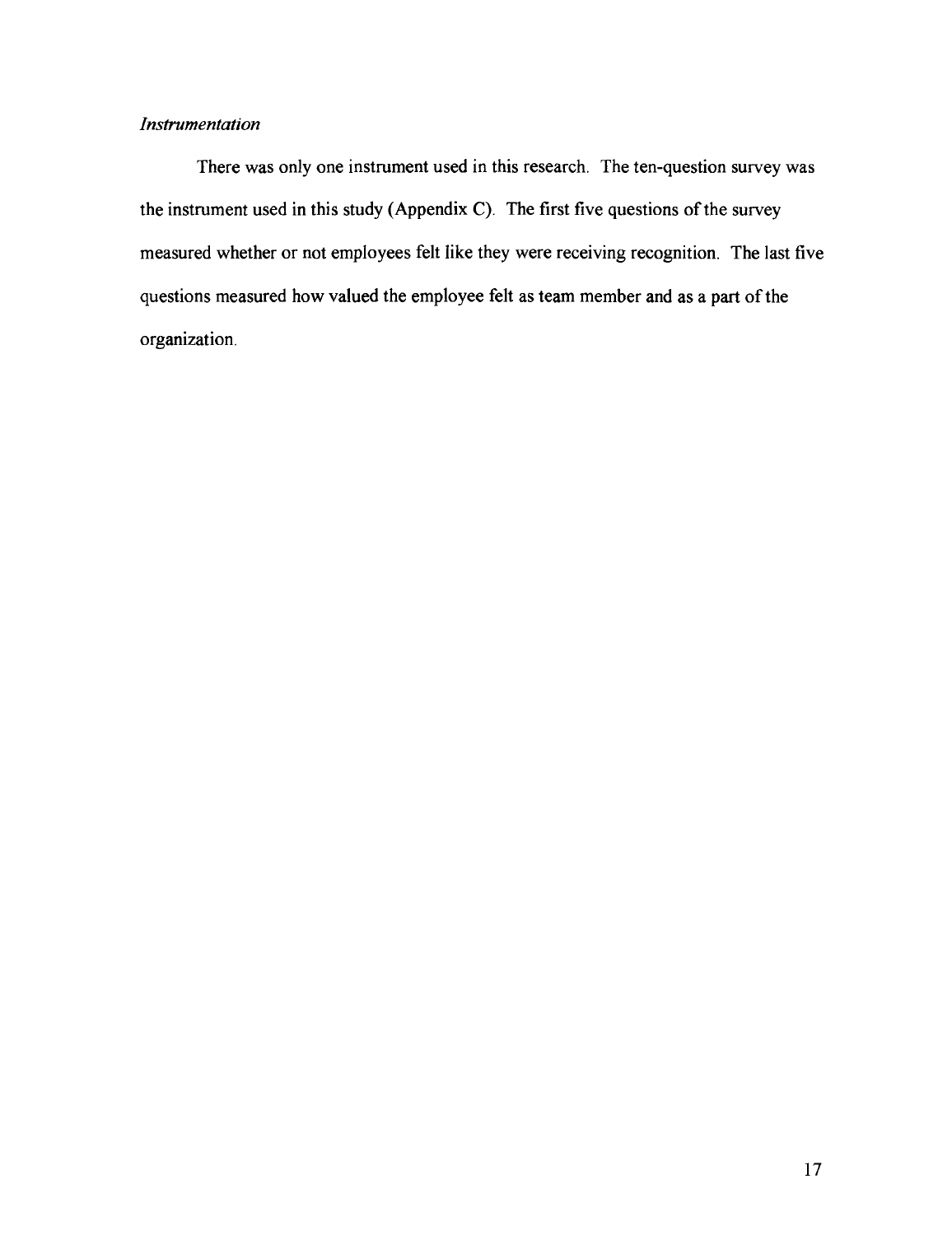# *Instrumentation*

There was only one instrument used in this research. The ten-question survey was the instrument used in this study (Appendix C). The first five questions of the survey measured whether or not employees felt like they were receiving recognition. The last five questions measured how valued the employee felt as team member and as a part of the organization.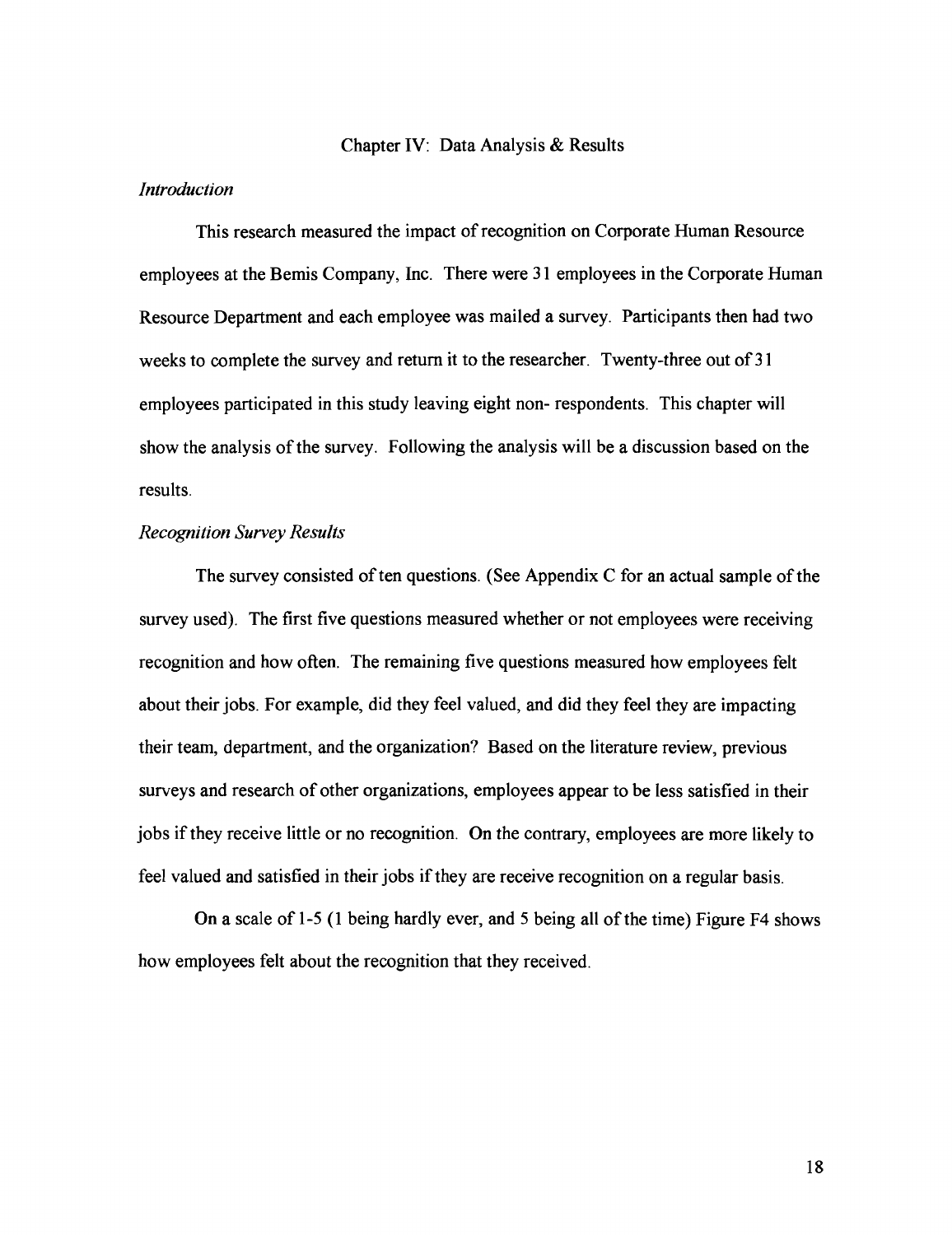# Chapter IV: Data Analysis & Results

## *Introduction*

This research measured the impact of recognition on Corporate Human Resource employees at the Bemis Company, Inc. There were 31 employees in the Corporate Human Resource Department and each employee was mailed a survey. Participants then had two weeks to complete the survey and return it to the researcher. Twenty-three out of 3 1 employees participated in this study leaving eight non- respondents. This chapter will show the analysis of the survey. Following the analysis will be a discussion based on the results.

# *Recognition Survey Results*

The survey consisted of ten questions. (See Appendix C for an actual sample of the survey used). The first five questions measured whether or not employees were receiving recognition and how often. The remaining five questions measured how employees felt about their jobs. For example, did they feel valued, and did they feel they are impacting their team, department, and the organization? Based on the literature review, previous surveys and research of other organizations, employees appear to be less satisfied in their jobs if they receive little or no recognition. On the contrary, employees are more likely to feel valued and satisfied in their jobs if they are receive recognition on a regular basis.

On a scale of 1-5 (1 being hardly ever, and 5 being all of the time) Figure F4 shows how employees felt about the recognition that they received.

18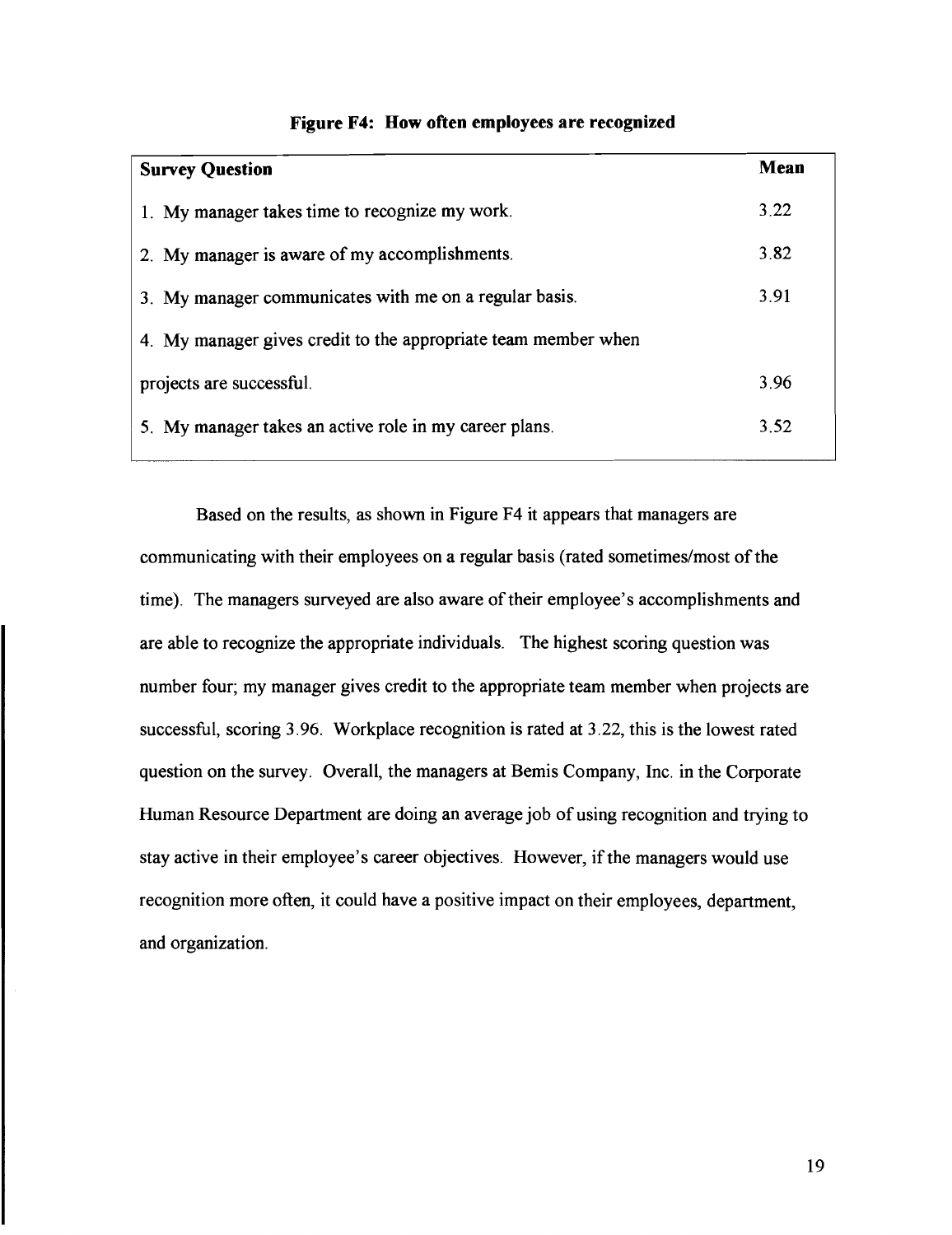| <b>Survey Question</b>                                         | Mean |
|----------------------------------------------------------------|------|
| 1. My manager takes time to recognize my work.                 | 3.22 |
| 2. My manager is aware of my accomplishments.                  | 3.82 |
| 3. My manager communicates with me on a regular basis.         | 3.91 |
| 4. My manager gives credit to the appropriate team member when |      |
| projects are successful.                                       | 3.96 |
| 5. My manager takes an active role in my career plans.         | 3.52 |
|                                                                |      |

#### **Figure F4: How often employees are recognized**

Based on the results, as shown in Figure F4 it appears that managers are communicating with their employees on a regular basis (rated sometimes/most of the time). The managers surveyed are also aware of their employee's accomplishments and are able to recognize the appropriate individuals. The highest scoring question was number four; my manager gives credit to the appropriate team member when projects are successful, scoring 3.96. Workplace recognition is rated at 3.22, this is the lowest rated question on the survey. Overall, the managers at Bemis Company, Inc. in the Corporate Human Resource Department are doing an average job of using recognition and trying to stay active in their employee's career objectives. However, if the managers would use recognition more often, it could have a positive impact on their employees, department, and organization.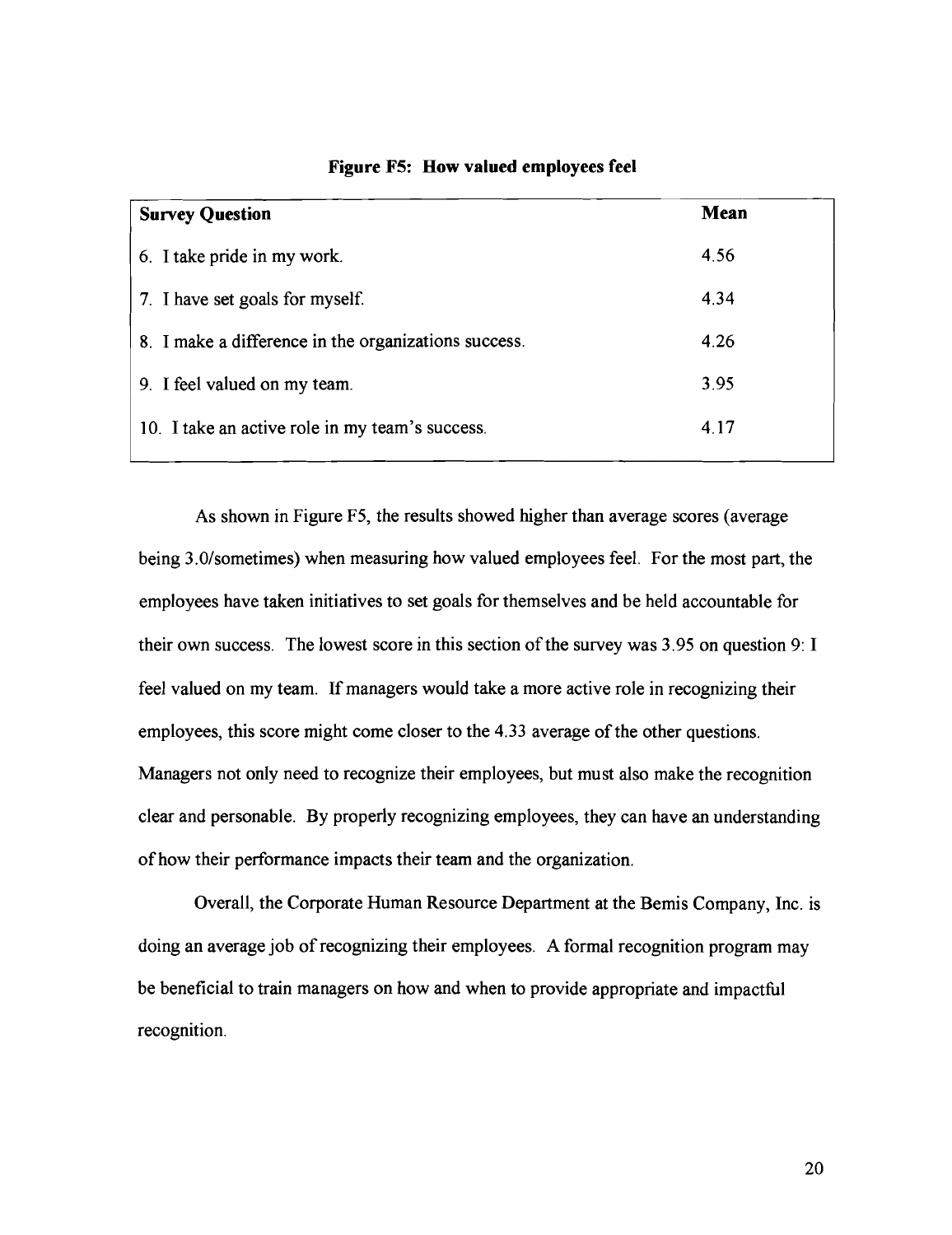| <b>Survey Question</b>                               | <b>Mean</b> |
|------------------------------------------------------|-------------|
| 6. I take pride in my work.                          | 4.56        |
| 7. I have set goals for myself.                      | 4.34        |
| 8. I make a difference in the organizations success. | 4.26        |
| 9. I feel valued on my team.                         | 3.95        |
| 10. I take an active role in my team's success.      | 4.17        |

**Figure F5: How valued employees feel** 

As shown in Figure F5, the results showed higher than average scores (average being 3.0/sometimes) when measuring how valued employees feel. For the most part, the employees have taken initiatives to set goals for themselves and be held accountable for their own success. The lowest score in this section of the survey was 3.95 on question 9: I feel valued on my team. If managers would take a more active role in recognizing their employees, this score might come closer to the 4.33 average of the other questions. Managers not only need to recognize their employees, but must also make the recognition clear and personable. By properly recognizing employees, they can have an understanding of how their performance impacts their team and the organization.

Overall, the Corporate Human Resource Department at the Bemis Company, Inc. is doing an average job of recognizing their employees. A formal recognition program may be beneficial to train managers on how and when to provide appropriate and impacthl recognition.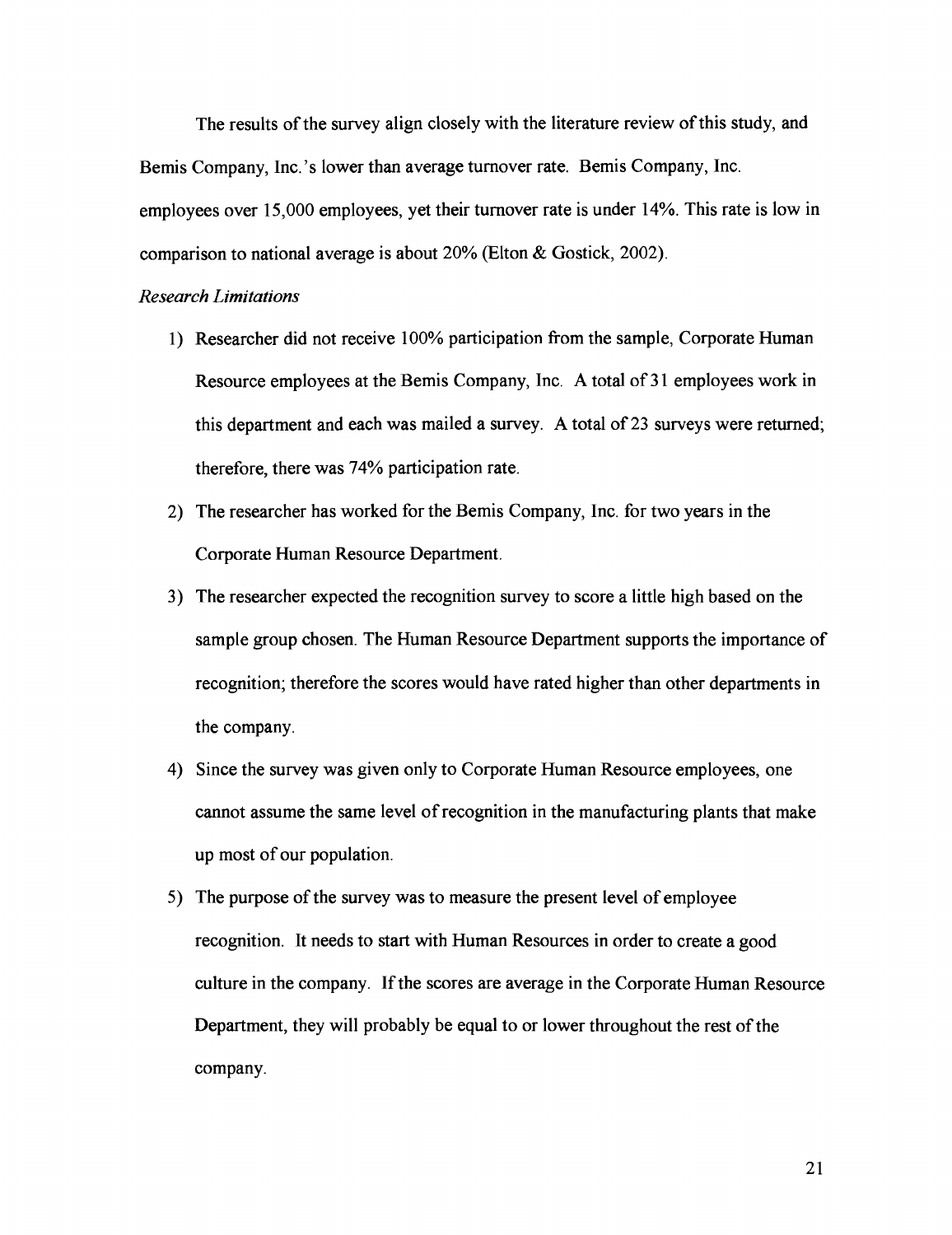The results of the survey align closely with the literature review of this study, and Bemis Company, Inc.'s lower than average turnover rate. Bemis Company, Inc. employees over 15,000 employees, yet their turnover rate is under 14%. This rate is low in comparison to national average is about 20% (Elton & Gostick, 2002).

#### *Research Limitations*

- 1) Researcher did not receive 100% participation from the sample, Corporate Human Resource employees at the Bemis Company, Inc. A total of 31 employees work in this department and each was mailed a survey. A total of 23 surveys were returned; therefore, there was 74% participation rate.
- 2) The researcher has worked for the Bemis Company, Inc. for two years in the Corporate Human Resource Department.
- 3) The researcher expected the recognition survey to score a little high based on the sample group chosen. The Human Resource Department supports the importance of recognition; therefore the scores would have rated higher than other departments in the company.
- 4) Since the survey was given only to Corporate Human Resource employees, one cannot assume the same level of recognition in the manufacturing plants that make up most of our population.
- 5) The purpose of the survey was to measure the present level of employee recognition. It needs to start with Human Resources in order to create a good culture in the company. If the scores are average in the Corporate Human Resource Department, they will probably be equal to or lower throughout the rest of the company.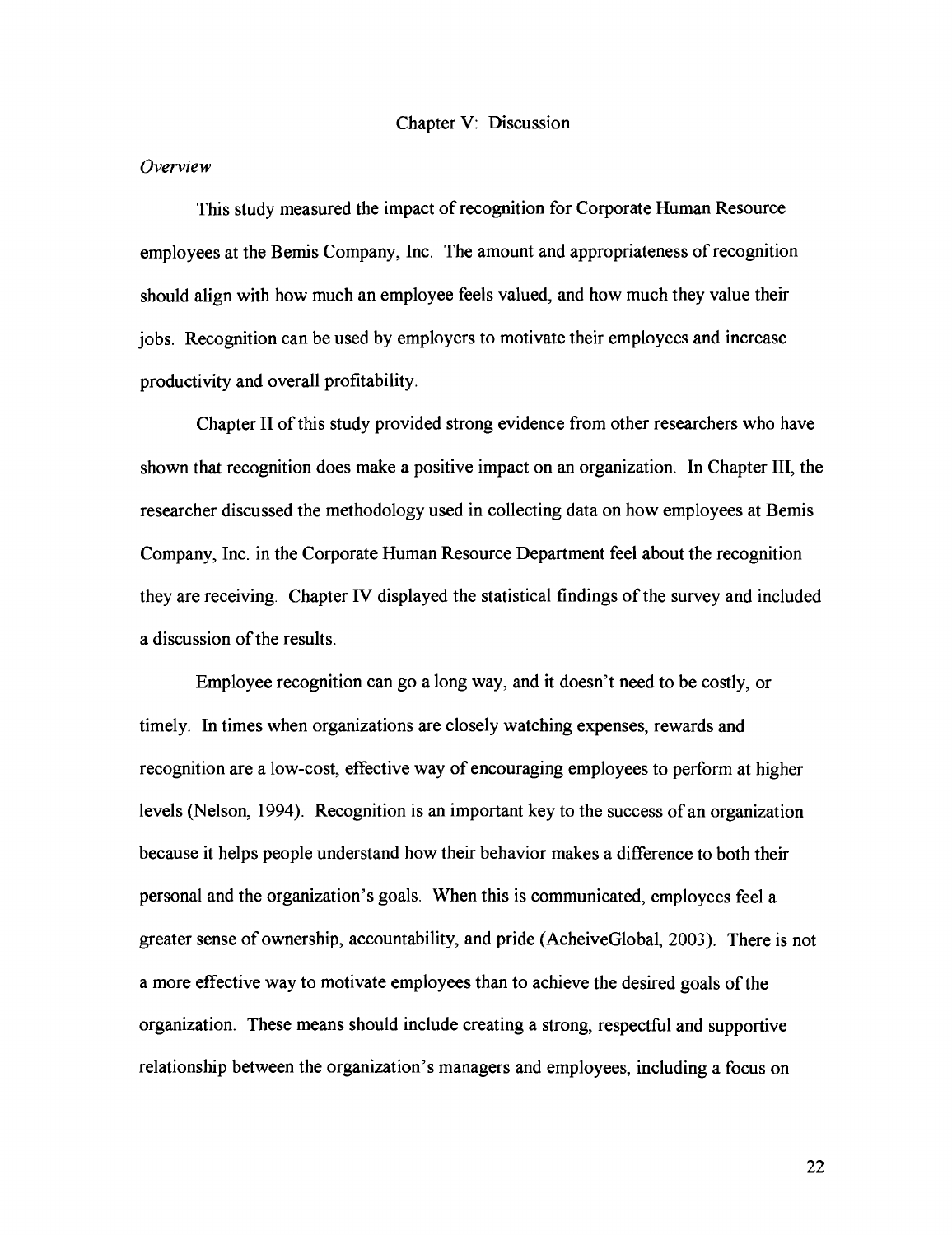#### *Overview*

This study measured the impact of recognition for Corporate Human Resource employees at the Bemis Company, Inc. The amount and appropriateness of recognition should align with how much an employee feels valued, and how much they value their jobs. Recognition can be used by employers to motivate their employees and increase productivity and overall profitability.

Chapter I1 of this study provided strong evidence from other researchers who have shown that recognition does make a positive impact on an organization. In Chapter 111, the researcher discussed the methodology used in collecting data on how employees at Bemis Company, Inc. in the Corporate Human Resource Department feel about the recognition they are receiving. Chapter IV displayed the statistical findings of the survey and included a discussion of the results.

Employee recognition can go a long way, and it doesn't need to be costly, or timely. In times when organizations are closely watching expenses, rewards and recognition are a low-cost, effective way of encouraging employees to perform at higher levels (Nelson, **1994).** Recognition is an important key to the success of an organization because it helps people understand how their behavior makes a difference to both their personal and the organization's goals. When this is communicated, employees feel a greater sense of ownership, accountability, and pride (AcheiveGlobal, **2003).** There is not a more effective way to motivate employees than to achieve the desired goals of the organization. These means should include creating a strong, respectful and supportive relationship between the organization's managers and employees, including a focus on

22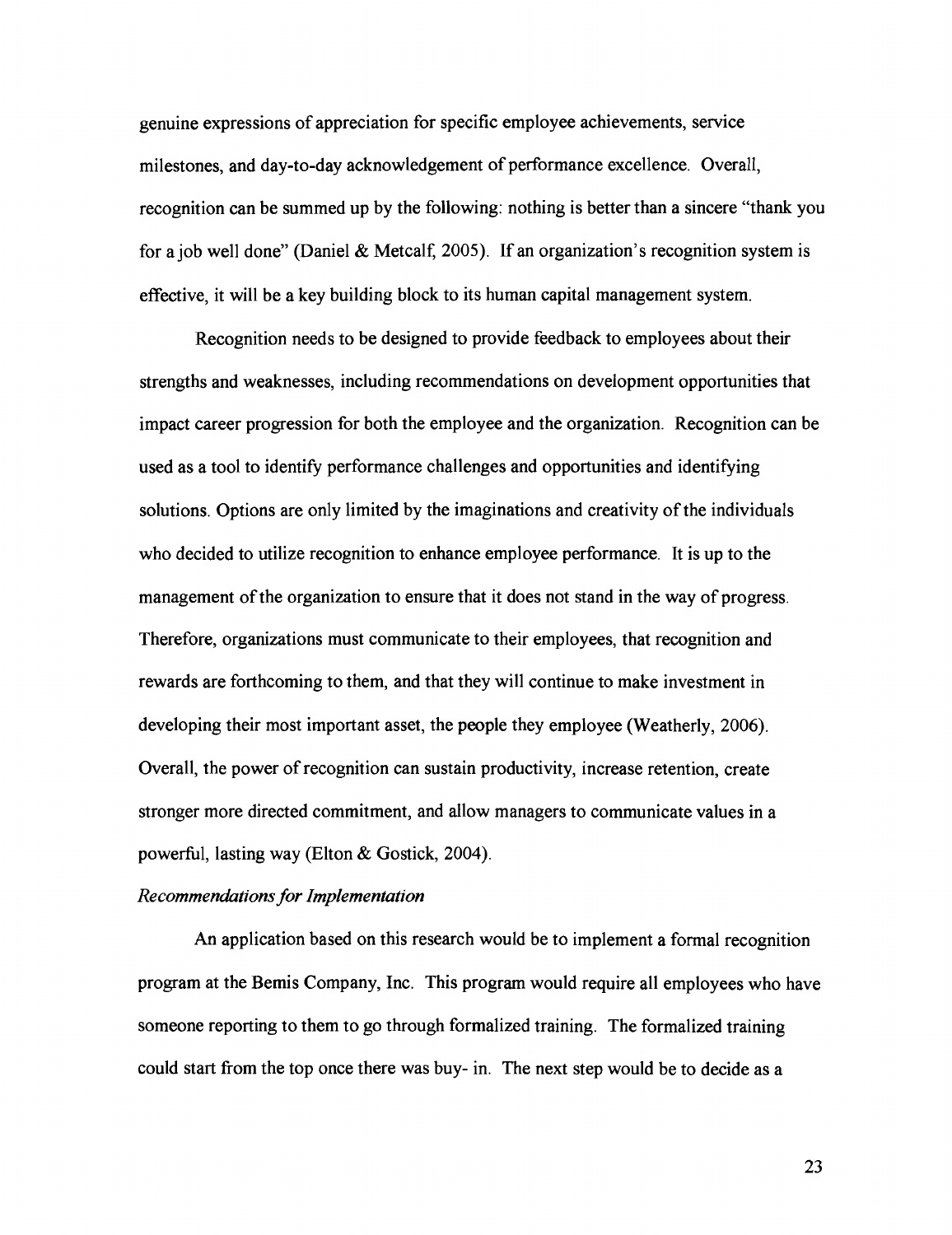genuine expressions of appreciation for specific employee achievements, service milestones, and day-to-day acknowledgement of performance excellence. Overall, recognition can be summed up by the following: nothing is better than a sincere "thank you for a job well done" (Daniel & Metcalf, 2005). If an organization's recognition system is effective, it will be a key building block to its human capital management system.

Recognition needs to be designed to provide feedback to employees about their strengths and weaknesses, including recommendations on development opportunities that impact career progression for both the employee and the organization. Recognition can be used as a tool to identify performance challenges and opportunities and identifying solutions. Options are only limited by the imaginations and creativity of the individuals who decided to utilize recognition to enhance employee performance. It is up to the management of the organization to ensure that it does not stand in the way of progress. Therefore, organizations must communicate to their employees, that recognition and rewards are forthcoming to them, and that they will continue to make investment in developing their most important asset, the people they employee (Weatherly, 2006). Overall, the power of recognition can sustain productivity, increase retention, create stronger more directed commitment, and allow managers to communicate values in a powerfbl, lasting way (Elton & Gostick, 2004).

### *Recommendations for Implementation*

An application based on this research would be to implement a formal recognition program at the Bemis Company, Inc. This program would require all employees who have someone reporting to them to go through formalized training. The formalized training could start from the top once there was buy- in. The next step would be to decide as a

23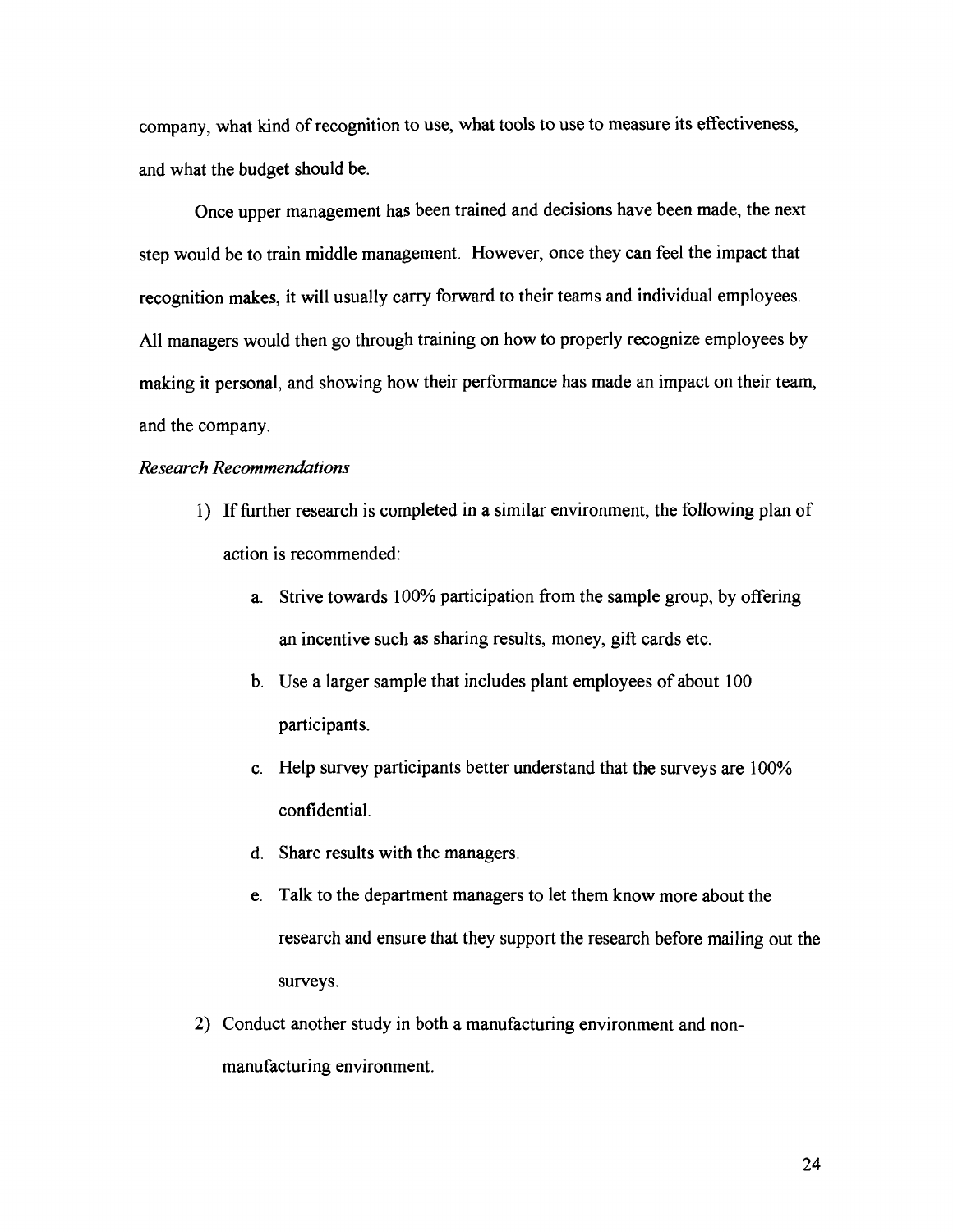company, what kind of recognition to use, what tools to use to measure its effectiveness, and what the budget should be.

Once upper management has been trained and decisions have been made, the next step would be to train middle management. However, once they can feel the impact that recognition makes, it will usually carry forward to their teams and individual employees. All managers would then go through training on how to properly recognize employees by making it personal, and showing how their performance has made an impact on their team, and the company.

# *Research Recommendations*

- 1) If fbrther research is completed in a similar environment, the following plan of action is recommended:
	- a. Strive towards 100% participation from the sample group, by offering an incentive such as sharing results, money, gift cards etc.
	- b. Use a larger sample that includes plant employees of about 100 participants.
	- c. Help survey participants better understand that the surveys are 100% confidential.
	- d. Share results with the managers.
	- e. Talk to the department managers to let them know more about the research and ensure that they support the research before mailing out the surveys.
- 2) Conduct another study in both a manufacturing environment and nonmanufacturing environment.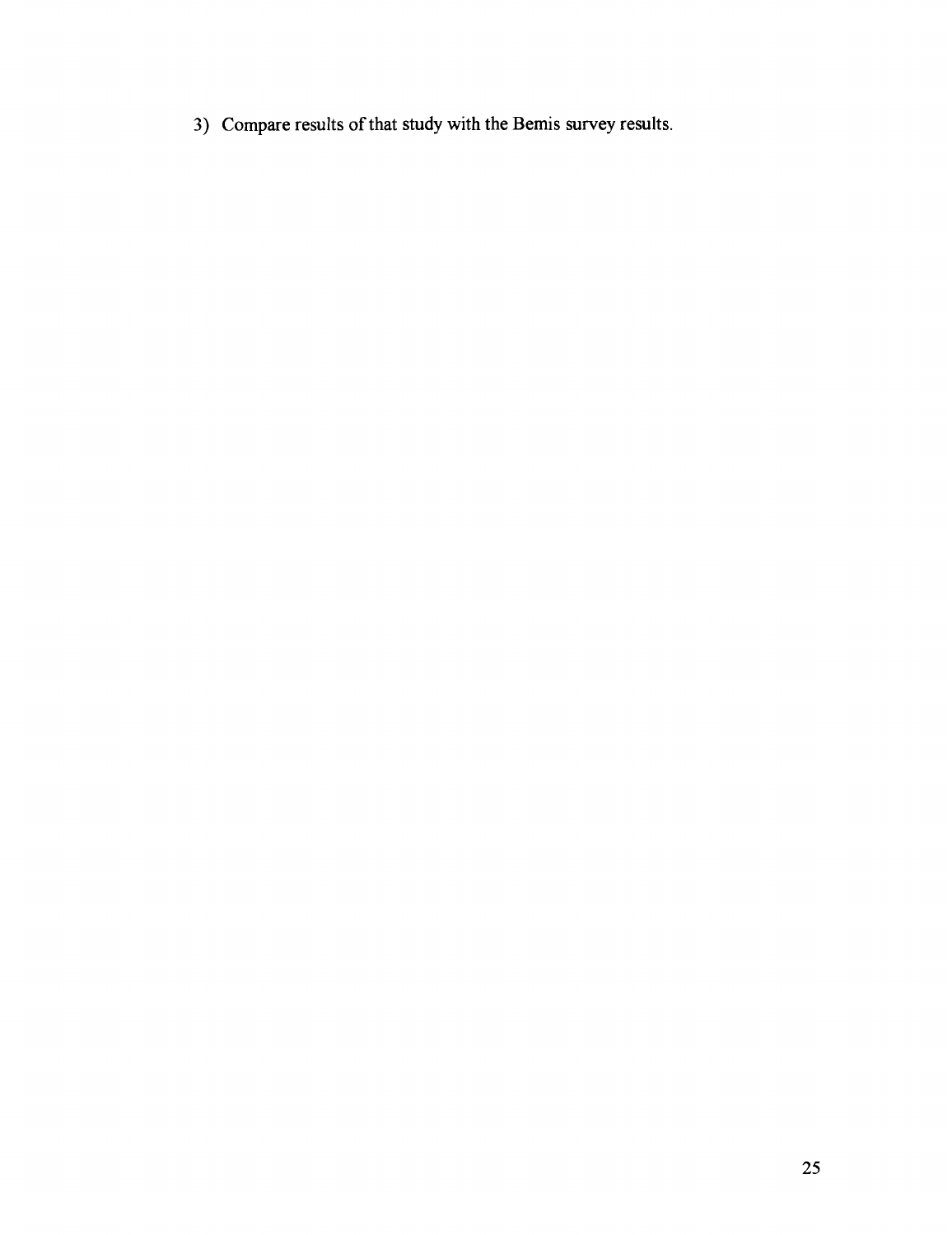**3)** Compare results of that study with the Bemis survey results.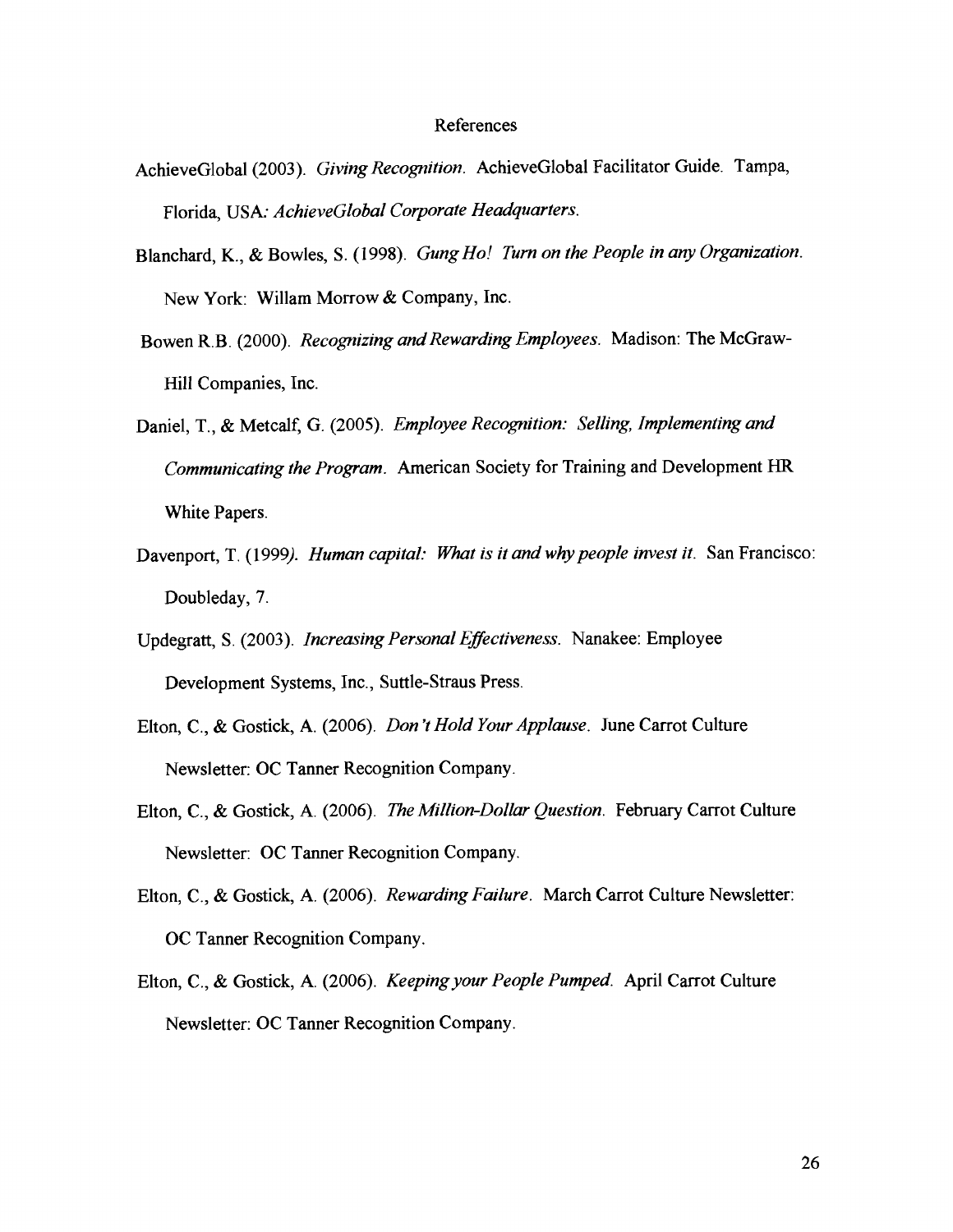#### References

- AchieveGlobal(2003). *Giving Recognition.* AchieveGlobal Facilitator Guide. Tampa, Florida, USA: *AchieveGlobal Corporate Headquarters.*
- Blanchard, K., & Bowles, S. (1998). *Gung Ho! Turn on the People in any Organization.*  New York: Willam Morrow & Company, Inc.
- Bowen R.B. (2000). *Recognizing and Rewarding Employees*. Madison: The McGraw-Hill Companies, Inc.
- Daniel, T., & Metcalf, G. (2005). *Employee Recognition: Selling, Implementing and Communicating the Program.* American Society for Training and Development HR White Papers.
- Davenport, T. (1999). *Human capital: What is it and why people invest it.* San Francisco: Doubleday, 7.
- Updegratt, S. (2003). *Increasing Personal Effectiveness.* Nanakee: Employee Development Systems, Inc., Suttle-Straus Press.
- Elton, C., & Gostick, A. (2006). *Don T Hold Your Applause.* June Carrot Culture Newsletter: OC Tanner Recognition Company.
- Elton, C., & Gostick, A. (2006). *The Million-Dollar Question.* February Carrot Culture Newsletter: OC Tanner Recognition Company.
- Elton, C., & Gostick, A. (2006). *Rewarding Failure.* March Carrot Culture Newsletter: OC Tanner Recognition Company.
- Elton, C., & Gostick, A. (2006). *Keeping your People Pumped.* April Carrot Culture Newsletter: OC Tanner Recognition Company.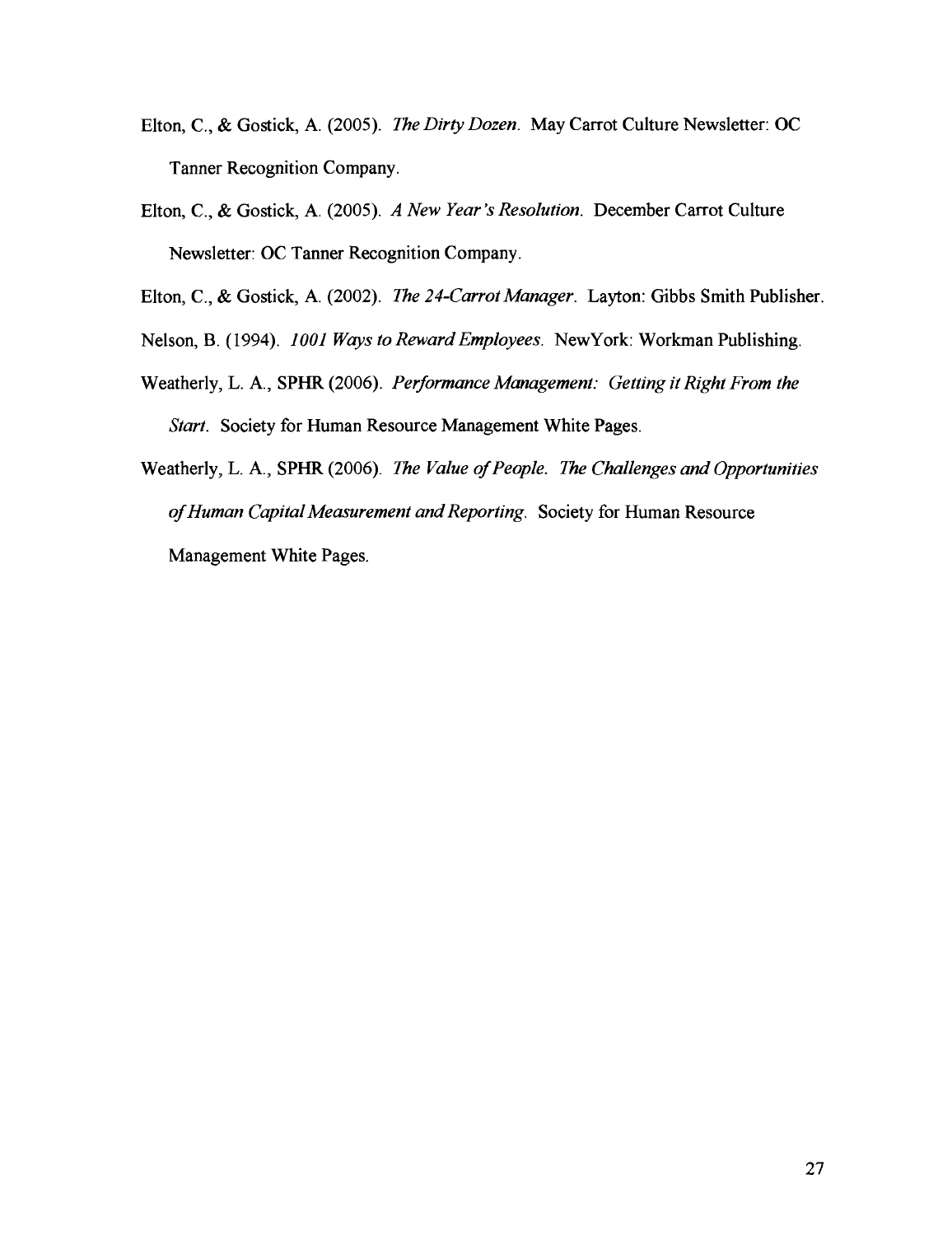- Elton, C., & Gostick, A. (2005). *The Dirty Dozen.* May Carrot Culture Newsletter: OC Tanner Recognition Company.
- Elton, C., & Gostick, A. (2005). A *New Year 's Resolution.* December Carrot Culture Newsletter: OC Tanner Recognition Company.

Elton, C., & Gostick, A. (2002). *The 24-Carrot Manager.* Layton: Gibbs Smith Publisher.

- Nelson, B. (1994). 1001 *Ways to Reward Employees.* NewYork: Workman Publishing.
- Weatherly, L. **A,,** SPHR (2006). *Performance Management: Getting it Right From the Start.* Society for Human Resource Management White Pages.
- Weatherly, L. A., SPHR (2006). *The Value of People. The Challenges and Opportunities of Human Capital Measurement and Reporting.* Society for Human Resource Management White Pages.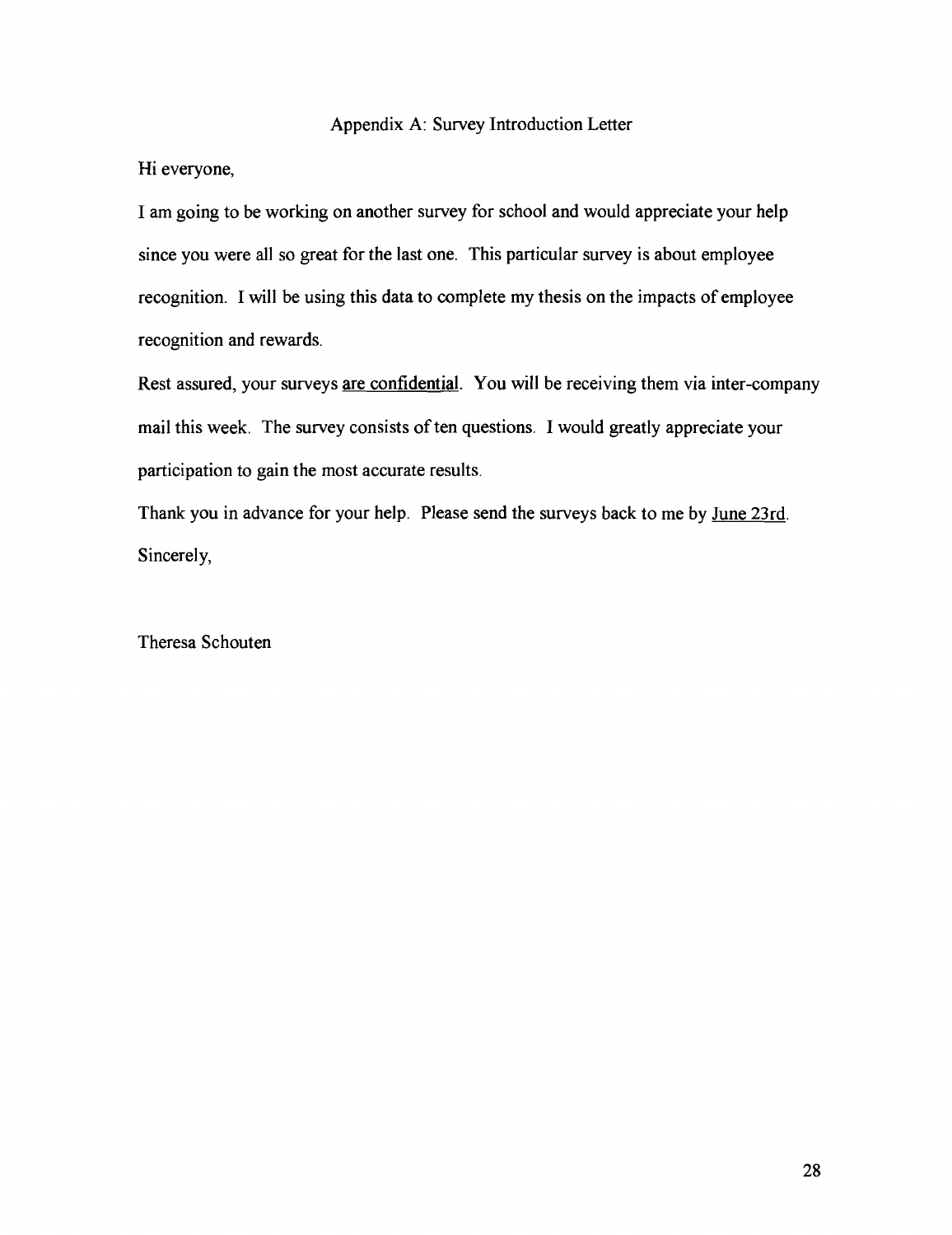# Appendix A: Survey Introduction Letter

Hi everyone,

I am going to be working on another survey for school and would appreciate your help since you were all so great for the last one. This particular survey is about employee recognition. I will be using this data to complete my thesis on the impacts of employee recognition and rewards.

Rest assured, your surveys are confidential. You will be receiving them via inter-company mail this week. The survey consists of ten questions. I would greatly appreciate your participation to gain the most accurate results.

Thank you in advance for your help. Please send the surveys back to me by June 23rd. Sincerely,

Theresa Schouten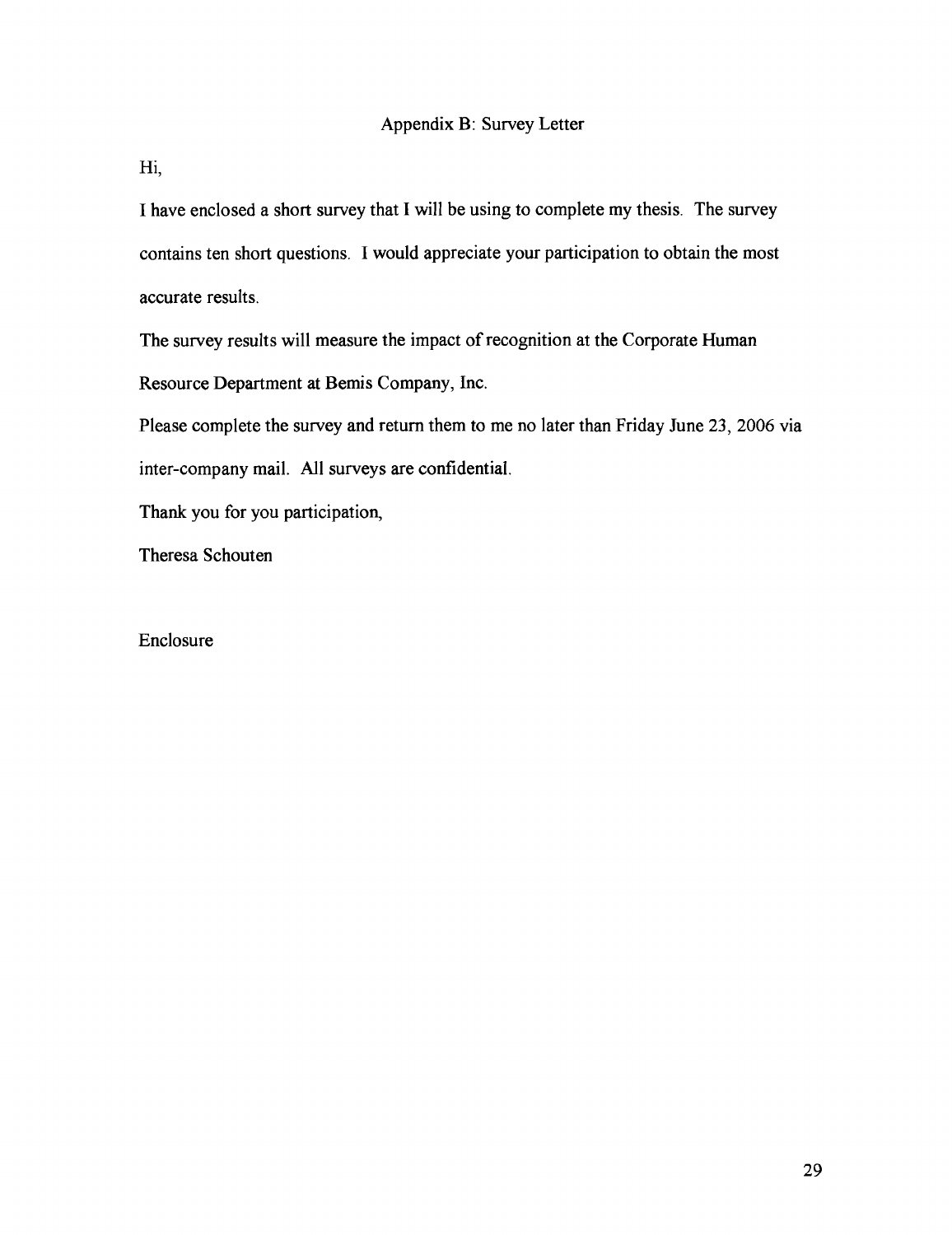Hi,

I have enclosed a short survey that I will be using to complete my thesis. The survey contains ten short questions. I would appreciate your participation to obtain the most accurate results.

The survey results will measure the impact of recognition at the Corporate Human Resource Department at Bemis Company, Inc.

Please complete the survey and return them to me no later than Friday June 23, 2006 via inter-company mail. All surveys are confidential.

Thank you for you participation,

Theresa Schouten

# Enclosure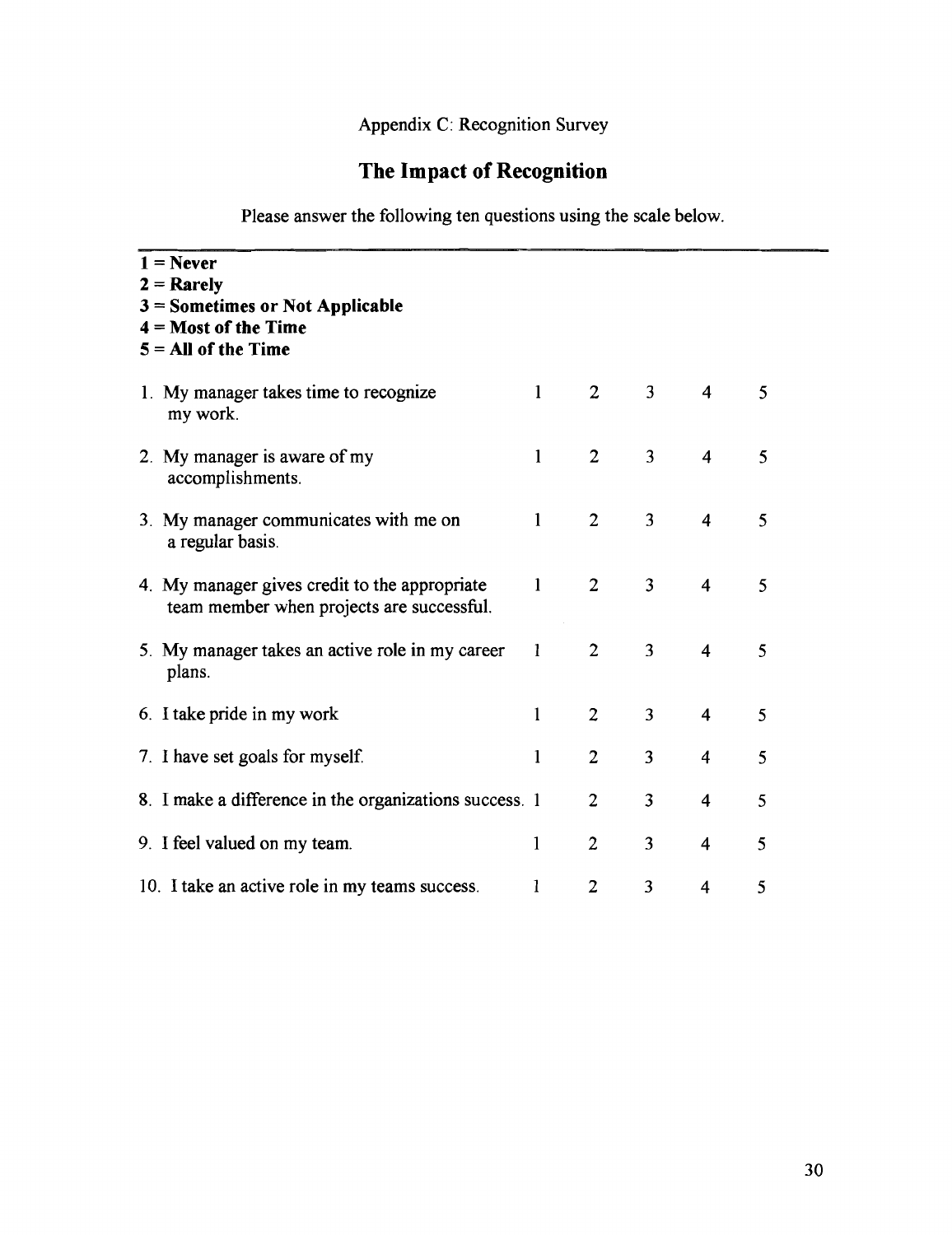# **The Impact of Recognition**

Please answer the following ten questions using the scale below.

| $1 =$ Never<br>$2 =$ Rarely<br>$3$ = Sometimes or Not Applicable<br>$4 = Most of the Time$<br>$5 = All of the Time$ |              |                |                |                         |   |
|---------------------------------------------------------------------------------------------------------------------|--------------|----------------|----------------|-------------------------|---|
| 1. My manager takes time to recognize<br>my work.                                                                   | $\mathbf{1}$ | $\overline{2}$ | 3 <sup>1</sup> | 4                       | 5 |
| 2. My manager is aware of my<br>accomplishments.                                                                    | $\mathbf{1}$ | $\overline{2}$ | 3 <sup>1</sup> | $\overline{\mathbf{4}}$ | 5 |
| 3. My manager communicates with me on<br>a regular basis.                                                           | $\mathbf{1}$ | $\overline{2}$ | 3 <sup>1</sup> | $\overline{4}$          | 5 |
| 4. My manager gives credit to the appropriate<br>team member when projects are successful.                          | $\mathbf{1}$ | $\overline{2}$ | $\overline{3}$ | $\overline{\mathbf{4}}$ | 5 |
| 5. My manager takes an active role in my career<br>plans.                                                           | $\mathbf{1}$ | $\overline{2}$ | $\overline{3}$ | $\overline{\mathbf{4}}$ | 5 |
| 6. I take pride in my work                                                                                          | $\mathbf{1}$ | $\overline{2}$ | 3              | $\overline{4}$          | 5 |
| 7. I have set goals for myself.                                                                                     | 1            | $\overline{2}$ | 3              | 4                       | 5 |
| 8. I make a difference in the organizations success. 1                                                              |              | $\overline{2}$ | 3              | $\overline{4}$          | 5 |
| 9. I feel valued on my team.                                                                                        | $\mathbf{1}$ | $\overline{2}$ | 3              | $\overline{4}$          | 5 |
| 10. I take an active role in my teams success.                                                                      | 1            | $\overline{2}$ | 3              | 4                       | 5 |